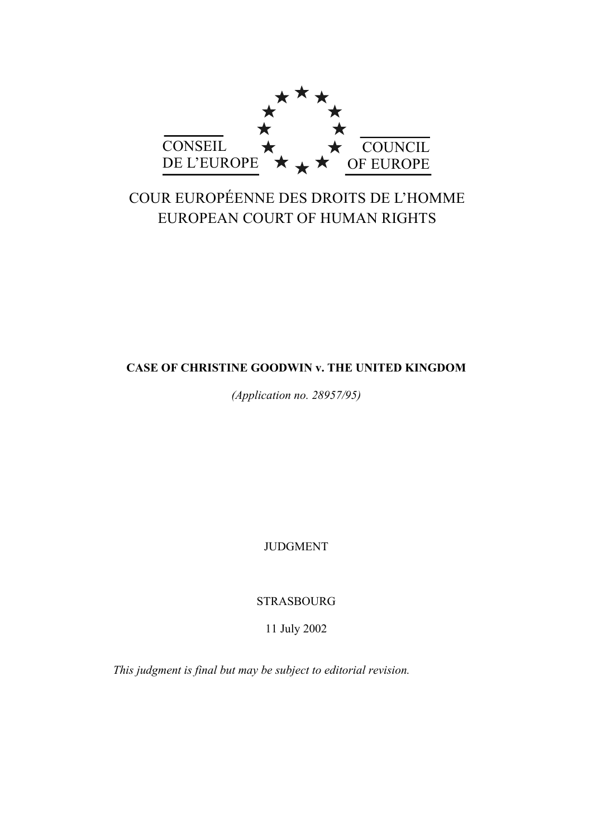

# COUR EUROPÉENNE DES DROITS DE L'HOMME EUROPEAN COURT OF HUMAN RIGHTS

# **CASE OF CHRISTINE GOODWIN v. THE UNITED KINGDOM**

*(Application no. 28957/95)*

JUDGMENT

STRASBOURG

11 July 2002

*This judgment is final but may be subject to editorial revision.*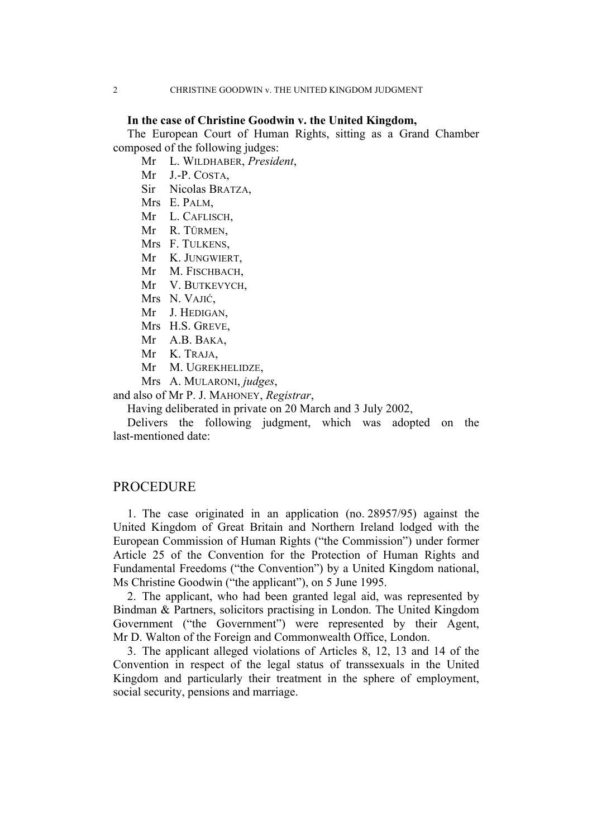#### **In the case of Christine Goodwin v. the United Kingdom,**

The European Court of Human Rights, sitting as a Grand Chamber composed of the following judges:

Mr L. WILDHABER, *President*,

Mr J.-P. COSTA,

Sir Nicolas BRATZA,

Mrs E. PALM,

Mr L. CAFLISCH,

- Mr R. TÜRMEN,
- Mrs F. TULKENS,
- Mr K. JUNGWIERT,

Mr M. FISCHBACH,

- Mr V. BUTKEVYCH,
- Mrs N. VAJIĆ,
- Mr J. HEDIGAN,
- Mrs H.S. GREVE,
- Mr A.B. BAKA,
- Mr K. TRAJA,
- Mr M. UGREKHELIDZE,

Mrs A. MULARONI, *judges*,

and also of Mr P. J. MAHONEY, *Registrar*,

Having deliberated in private on 20 March and 3 July 2002,

Delivers the following judgment, which was adopted on the last-mentioned date:

# PROCEDURE

1. The case originated in an application (no. 28957/95) against the United Kingdom of Great Britain and Northern Ireland lodged with the European Commission of Human Rights ("the Commission") under former Article 25 of the Convention for the Protection of Human Rights and Fundamental Freedoms ("the Convention") by a United Kingdom national, Ms Christine Goodwin ("the applicant"), on 5 June 1995.

2. The applicant, who had been granted legal aid, was represented by Bindman & Partners, solicitors practising in London. The United Kingdom Government ("the Government") were represented by their Agent, Mr D. Walton of the Foreign and Commonwealth Office, London.

3. The applicant alleged violations of Articles 8, 12, 13 and 14 of the Convention in respect of the legal status of transsexuals in the United Kingdom and particularly their treatment in the sphere of employment, social security, pensions and marriage.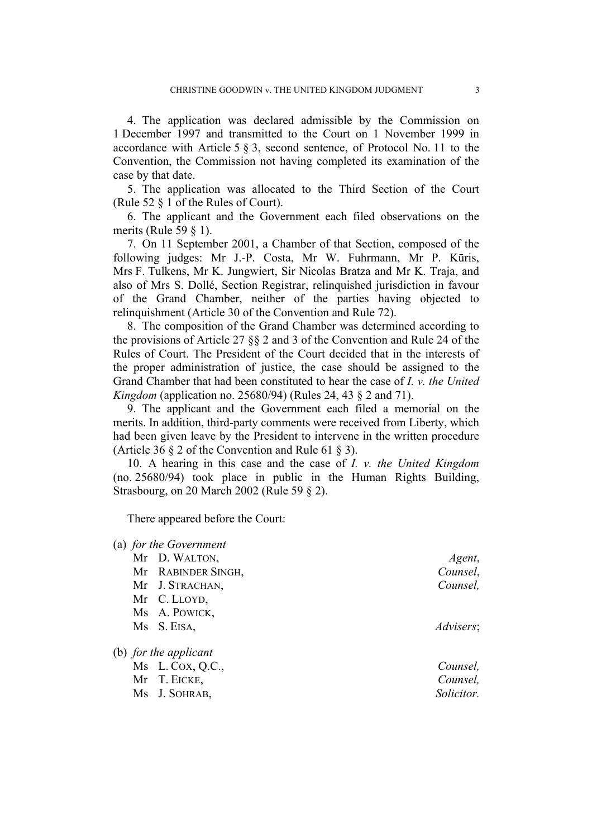4. The application was declared admissible by the Commission on 1 December 1997 and transmitted to the Court on 1 November 1999 in accordance with Article 5 § 3, second sentence, of Protocol No. 11 to the Convention, the Commission not having completed its examination of the case by that date.

5. The application was allocated to the Third Section of the Court (Rule 52 § 1 of the Rules of Court).

6. The applicant and the Government each filed observations on the merits (Rule 59  $\S$  1).

7. On 11 September 2001, a Chamber of that Section, composed of the following judges: Mr J.-P. Costa, Mr W. Fuhrmann, Mr P. Kūris, Mrs F. Tulkens, Mr K. Jungwiert, Sir Nicolas Bratza and Mr K. Traja, and also of Mrs S. Dollé, Section Registrar, relinquished jurisdiction in favour of the Grand Chamber, neither of the parties having objected to relinquishment (Article 30 of the Convention and Rule 72).

8. The composition of the Grand Chamber was determined according to the provisions of Article 27 §§ 2 and 3 of the Convention and Rule 24 of the Rules of Court. The President of the Court decided that in the interests of the proper administration of justice, the case should be assigned to the Grand Chamber that had been constituted to hear the case of *I. v. the United Kingdom* (application no. 25680/94) (Rules 24, 43 § 2 and 71).

9. The applicant and the Government each filed a memorial on the merits. In addition, third-party comments were received from Liberty, which had been given leave by the President to intervene in the written procedure (Article 36 § 2 of the Convention and Rule 61 § 3).

10. A hearing in this case and the case of *I. v. the United Kingdom* (no. 25680/94) took place in public in the Human Rights Building, Strasbourg, on 20 March 2002 (Rule 59 § 2).

There appeared before the Court:

| (a) for the Government |                   |
|------------------------|-------------------|
| Mr D. WALTON,          | Agent,            |
| Mr RABINDER SINGH,     | Counsel,          |
| Mr J. STRACHAN,        | Counsel.          |
| Mr C. LLOYD,           |                   |
| Ms A. POWICK,          |                   |
| Ms S. EISA,            | Advisers;         |
| (b) for the applicant  |                   |
| $Ms$ L. Cox, Q.C.,     | Counsel.          |
| Mr T. EICKE,           | Counsel.          |
| Ms J. SOHRAB,          | <i>Solicitor.</i> |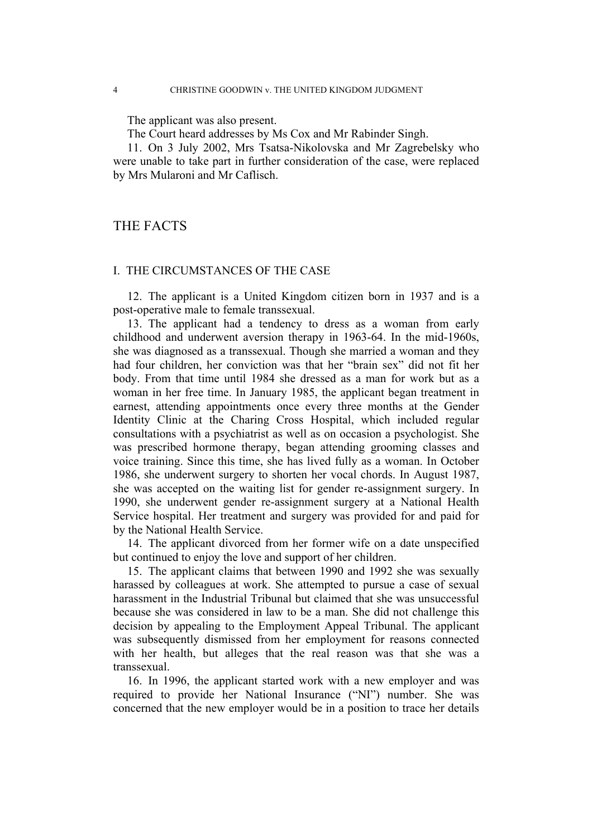The applicant was also present.

The Court heard addresses by Ms Cox and Mr Rabinder Singh.

11. On 3 July 2002, Mrs Tsatsa-Nikolovska and Mr Zagrebelsky who were unable to take part in further consideration of the case, were replaced by Mrs Mularoni and Mr Caflisch.

# THE FACTS

#### I. THE CIRCUMSTANCES OF THE CASE

12. The applicant is a United Kingdom citizen born in 1937 and is a post-operative male to female transsexual.

13. The applicant had a tendency to dress as a woman from early childhood and underwent aversion therapy in 1963-64. In the mid-1960s, she was diagnosed as a transsexual. Though she married a woman and they had four children, her conviction was that her "brain sex" did not fit her body. From that time until 1984 she dressed as a man for work but as a woman in her free time. In January 1985, the applicant began treatment in earnest, attending appointments once every three months at the Gender Identity Clinic at the Charing Cross Hospital, which included regular consultations with a psychiatrist as well as on occasion a psychologist. She was prescribed hormone therapy, began attending grooming classes and voice training. Since this time, she has lived fully as a woman. In October 1986, she underwent surgery to shorten her vocal chords. In August 1987, she was accepted on the waiting list for gender re-assignment surgery. In 1990, she underwent gender re-assignment surgery at a National Health Service hospital. Her treatment and surgery was provided for and paid for by the National Health Service.

14. The applicant divorced from her former wife on a date unspecified but continued to enjoy the love and support of her children.

15. The applicant claims that between 1990 and 1992 she was sexually harassed by colleagues at work. She attempted to pursue a case of sexual harassment in the Industrial Tribunal but claimed that she was unsuccessful because she was considered in law to be a man. She did not challenge this decision by appealing to the Employment Appeal Tribunal. The applicant was subsequently dismissed from her employment for reasons connected with her health, but alleges that the real reason was that she was a transsexual.

16. In 1996, the applicant started work with a new employer and was required to provide her National Insurance ("NI") number. She was concerned that the new employer would be in a position to trace her details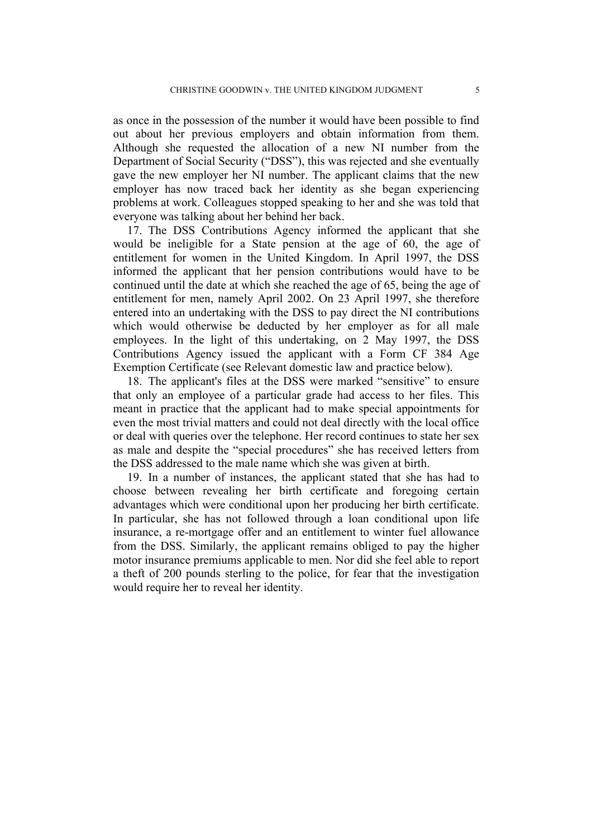as once in the possession of the number it would have been possible to find out about her previous employers and obtain information from them. Although she requested the allocation of a new NI number from the Department of Social Security ("DSS"), this was rejected and she eventually gave the new employer her NI number. The applicant claims that the new employer has now traced back her identity as she began experiencing problems at work. Colleagues stopped speaking to her and she was told that everyone was talking about her behind her back.

17. The DSS Contributions Agency informed the applicant that she would be ineligible for a State pension at the age of 60, the age of entitlement for women in the United Kingdom. In April 1997, the DSS informed the applicant that her pension contributions would have to be continued until the date at which she reached the age of 65, being the age of entitlement for men, namely April 2002. On 23 April 1997, she therefore entered into an undertaking with the DSS to pay direct the NI contributions which would otherwise be deducted by her employer as for all male employees. In the light of this undertaking, on 2 May 1997, the DSS Contributions Agency issued the applicant with a Form CF 384 Age Exemption Certificate (see Relevant domestic law and practice below).

18. The applicant's files at the DSS were marked "sensitive" to ensure that only an employee of a particular grade had access to her files. This meant in practice that the applicant had to make special appointments for even the most trivial matters and could not deal directly with the local office or deal with queries over the telephone. Her record continues to state her sex as male and despite the "special procedures" she has received letters from the DSS addressed to the male name which she was given at birth.

19. In a number of instances, the applicant stated that she has had to choose between revealing her birth certificate and foregoing certain advantages which were conditional upon her producing her birth certificate. In particular, she has not followed through a loan conditional upon life insurance, a re-mortgage offer and an entitlement to winter fuel allowance from the DSS. Similarly, the applicant remains obliged to pay the higher motor insurance premiums applicable to men. Nor did she feel able to report a theft of 200 pounds sterling to the police, for fear that the investigation would require her to reveal her identity.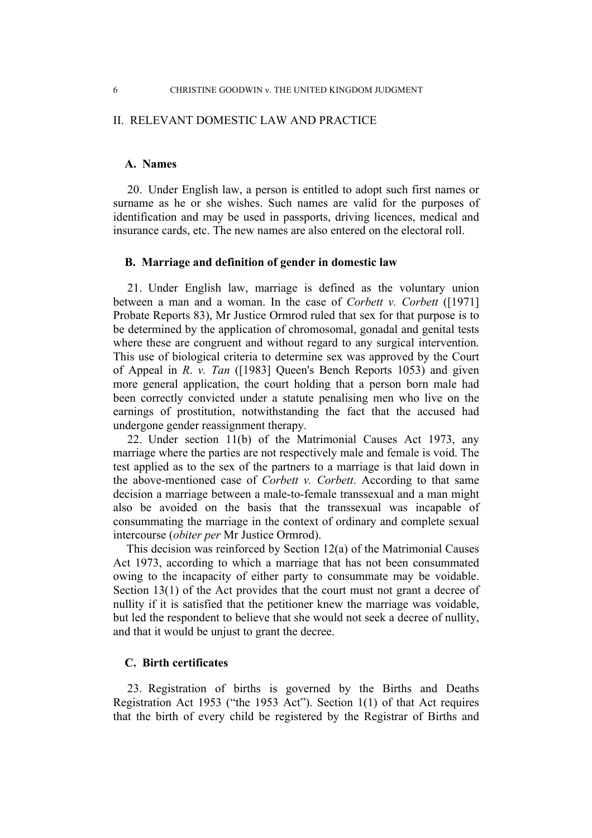#### II. RELEVANT DOMESTIC LAW AND PRACTICE

#### **A. Names**

20. Under English law, a person is entitled to adopt such first names or surname as he or she wishes. Such names are valid for the purposes of identification and may be used in passports, driving licences, medical and insurance cards, etc. The new names are also entered on the electoral roll.

#### **B. Marriage and definition of gender in domestic law**

21. Under English law, marriage is defined as the voluntary union between a man and a woman. In the case of *Corbett v. Corbett* ([1971] Probate Reports 83), Mr Justice Ormrod ruled that sex for that purpose is to be determined by the application of chromosomal, gonadal and genital tests where these are congruent and without regard to any surgical intervention. This use of biological criteria to determine sex was approved by the Court of Appeal in *R*. *v. Tan* ([1983] Queen's Bench Reports 1053) and given more general application, the court holding that a person born male had been correctly convicted under a statute penalising men who live on the earnings of prostitution, notwithstanding the fact that the accused had undergone gender reassignment therapy.

22. Under section 11(b) of the Matrimonial Causes Act 1973, any marriage where the parties are not respectively male and female is void. The test applied as to the sex of the partners to a marriage is that laid down in the above-mentioned case of *Corbett v. Corbett*. According to that same decision a marriage between a male-to-female transsexual and a man might also be avoided on the basis that the transsexual was incapable of consummating the marriage in the context of ordinary and complete sexual intercourse (*obiter per* Mr Justice Ormrod).

This decision was reinforced by Section 12(a) of the Matrimonial Causes Act 1973, according to which a marriage that has not been consummated owing to the incapacity of either party to consummate may be voidable. Section 13(1) of the Act provides that the court must not grant a decree of nullity if it is satisfied that the petitioner knew the marriage was voidable, but led the respondent to believe that she would not seek a decree of nullity, and that it would be unjust to grant the decree.

## **C. Birth certificates**

23. Registration of births is governed by the Births and Deaths Registration Act 1953 ("the 1953 Act"). Section 1(1) of that Act requires that the birth of every child be registered by the Registrar of Births and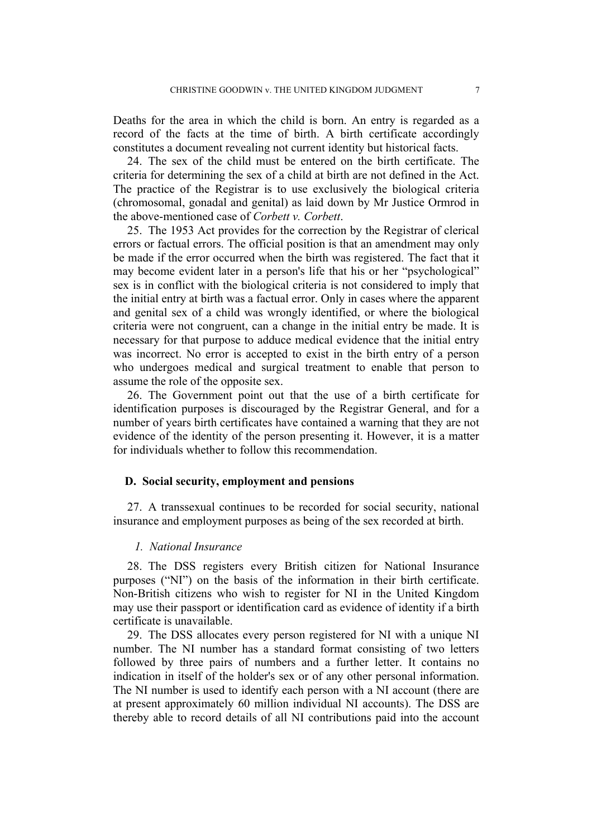Deaths for the area in which the child is born. An entry is regarded as a record of the facts at the time of birth. A birth certificate accordingly constitutes a document revealing not current identity but historical facts.

24. The sex of the child must be entered on the birth certificate. The criteria for determining the sex of a child at birth are not defined in the Act. The practice of the Registrar is to use exclusively the biological criteria (chromosomal, gonadal and genital) as laid down by Mr Justice Ormrod in the above-mentioned case of *Corbett v. Corbett*.

25. The 1953 Act provides for the correction by the Registrar of clerical errors or factual errors. The official position is that an amendment may only be made if the error occurred when the birth was registered. The fact that it may become evident later in a person's life that his or her "psychological" sex is in conflict with the biological criteria is not considered to imply that the initial entry at birth was a factual error. Only in cases where the apparent and genital sex of a child was wrongly identified, or where the biological criteria were not congruent, can a change in the initial entry be made. It is necessary for that purpose to adduce medical evidence that the initial entry was incorrect. No error is accepted to exist in the birth entry of a person who undergoes medical and surgical treatment to enable that person to assume the role of the opposite sex.

26. The Government point out that the use of a birth certificate for identification purposes is discouraged by the Registrar General, and for a number of years birth certificates have contained a warning that they are not evidence of the identity of the person presenting it. However, it is a matter for individuals whether to follow this recommendation.

#### **D. Social security, employment and pensions**

27. A transsexual continues to be recorded for social security, national insurance and employment purposes as being of the sex recorded at birth.

# *1. National Insurance*

28. The DSS registers every British citizen for National Insurance purposes ("NI") on the basis of the information in their birth certificate. Non-British citizens who wish to register for NI in the United Kingdom may use their passport or identification card as evidence of identity if a birth certificate is unavailable.

29. The DSS allocates every person registered for NI with a unique NI number. The NI number has a standard format consisting of two letters followed by three pairs of numbers and a further letter. It contains no indication in itself of the holder's sex or of any other personal information. The NI number is used to identify each person with a NI account (there are at present approximately 60 million individual NI accounts). The DSS are thereby able to record details of all NI contributions paid into the account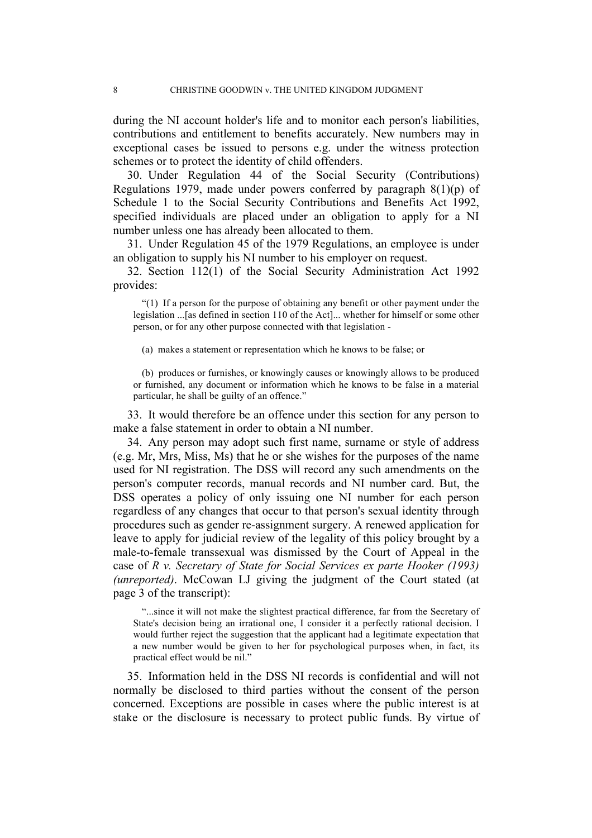during the NI account holder's life and to monitor each person's liabilities, contributions and entitlement to benefits accurately. New numbers may in exceptional cases be issued to persons e.g. under the witness protection schemes or to protect the identity of child offenders.

30. Under Regulation 44 of the Social Security (Contributions) Regulations 1979, made under powers conferred by paragraph  $8(1)(p)$  of Schedule 1 to the Social Security Contributions and Benefits Act 1992, specified individuals are placed under an obligation to apply for a NI number unless one has already been allocated to them.

31. Under Regulation 45 of the 1979 Regulations, an employee is under an obligation to supply his NI number to his employer on request.

32. Section 112(1) of the Social Security Administration Act 1992 provides:

"(1) If a person for the purpose of obtaining any benefit or other payment under the legislation ...[as defined in section 110 of the Act]... whether for himself or some other person, or for any other purpose connected with that legislation -

(a) makes a statement or representation which he knows to be false; or

(b) produces or furnishes, or knowingly causes or knowingly allows to be produced or furnished, any document or information which he knows to be false in a material particular, he shall be guilty of an offence."

33. It would therefore be an offence under this section for any person to make a false statement in order to obtain a NI number.

34. Any person may adopt such first name, surname or style of address (e.g. Mr, Mrs, Miss, Ms) that he or she wishes for the purposes of the name used for NI registration. The DSS will record any such amendments on the person's computer records, manual records and NI number card. But, the DSS operates a policy of only issuing one NI number for each person regardless of any changes that occur to that person's sexual identity through procedures such as gender re-assignment surgery. A renewed application for leave to apply for judicial review of the legality of this policy brought by a male-to-female transsexual was dismissed by the Court of Appeal in the case of *R v. Secretary of State for Social Services ex parte Hooker (1993) (unreported)*. McCowan LJ giving the judgment of the Court stated (at page 3 of the transcript):

"...since it will not make the slightest practical difference, far from the Secretary of State's decision being an irrational one, I consider it a perfectly rational decision. I would further reject the suggestion that the applicant had a legitimate expectation that a new number would be given to her for psychological purposes when, in fact, its practical effect would be nil."

35. Information held in the DSS NI records is confidential and will not normally be disclosed to third parties without the consent of the person concerned. Exceptions are possible in cases where the public interest is at stake or the disclosure is necessary to protect public funds. By virtue of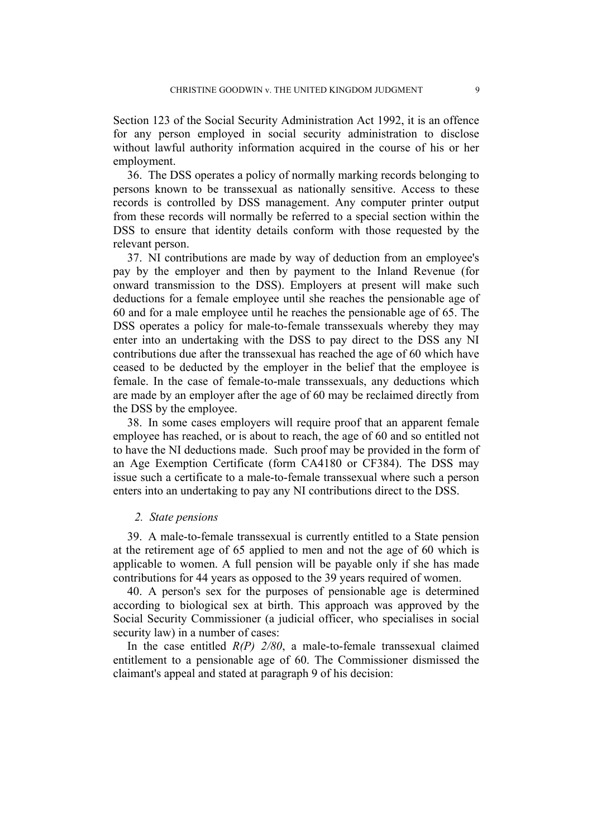Section 123 of the Social Security Administration Act 1992, it is an offence for any person employed in social security administration to disclose without lawful authority information acquired in the course of his or her employment.

36. The DSS operates a policy of normally marking records belonging to persons known to be transsexual as nationally sensitive. Access to these records is controlled by DSS management. Any computer printer output from these records will normally be referred to a special section within the DSS to ensure that identity details conform with those requested by the relevant person.

37. NI contributions are made by way of deduction from an employee's pay by the employer and then by payment to the Inland Revenue (for onward transmission to the DSS). Employers at present will make such deductions for a female employee until she reaches the pensionable age of 60 and for a male employee until he reaches the pensionable age of 65. The DSS operates a policy for male-to-female transsexuals whereby they may enter into an undertaking with the DSS to pay direct to the DSS any NI contributions due after the transsexual has reached the age of 60 which have ceased to be deducted by the employer in the belief that the employee is female. In the case of female-to-male transsexuals, any deductions which are made by an employer after the age of 60 may be reclaimed directly from the DSS by the employee.

38. In some cases employers will require proof that an apparent female employee has reached, or is about to reach, the age of 60 and so entitled not to have the NI deductions made. Such proof may be provided in the form of an Age Exemption Certificate (form CA4180 or CF384). The DSS may issue such a certificate to a male-to-female transsexual where such a person enters into an undertaking to pay any NI contributions direct to the DSS.

### *2. State pensions*

39. A male-to-female transsexual is currently entitled to a State pension at the retirement age of 65 applied to men and not the age of 60 which is applicable to women. A full pension will be payable only if she has made contributions for 44 years as opposed to the 39 years required of women.

40. A person's sex for the purposes of pensionable age is determined according to biological sex at birth. This approach was approved by the Social Security Commissioner (a judicial officer, who specialises in social security law) in a number of cases:

In the case entitled *R(P) 2/80*, a male-to-female transsexual claimed entitlement to a pensionable age of 60. The Commissioner dismissed the claimant's appeal and stated at paragraph 9 of his decision: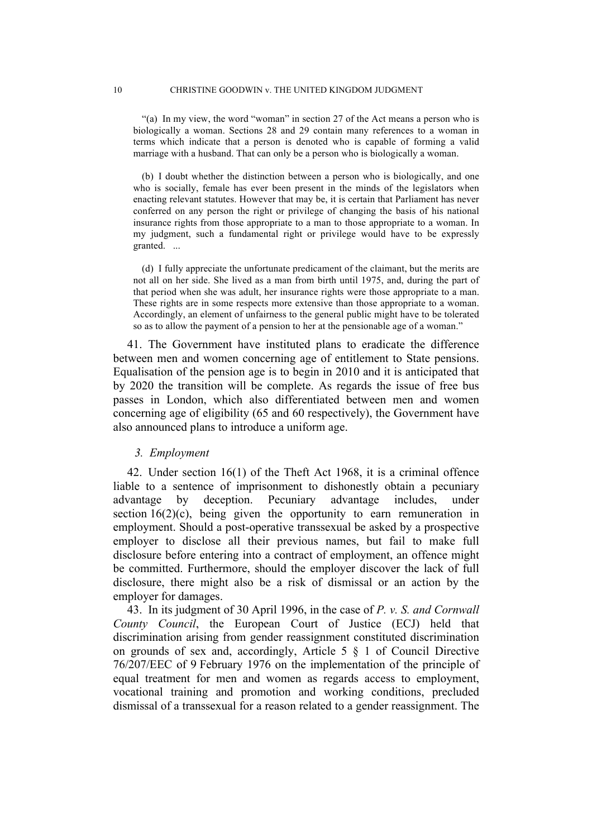"(a) In my view, the word "woman" in section 27 of the Act means a person who is biologically a woman. Sections 28 and 29 contain many references to a woman in terms which indicate that a person is denoted who is capable of forming a valid marriage with a husband. That can only be a person who is biologically a woman.

(b) I doubt whether the distinction between a person who is biologically, and one who is socially, female has ever been present in the minds of the legislators when enacting relevant statutes. However that may be, it is certain that Parliament has never conferred on any person the right or privilege of changing the basis of his national insurance rights from those appropriate to a man to those appropriate to a woman. In my judgment, such a fundamental right or privilege would have to be expressly granted. ...

(d) I fully appreciate the unfortunate predicament of the claimant, but the merits are not all on her side. She lived as a man from birth until 1975, and, during the part of that period when she was adult, her insurance rights were those appropriate to a man. These rights are in some respects more extensive than those appropriate to a woman. Accordingly, an element of unfairness to the general public might have to be tolerated so as to allow the payment of a pension to her at the pensionable age of a woman."

41. The Government have instituted plans to eradicate the difference between men and women concerning age of entitlement to State pensions. Equalisation of the pension age is to begin in 2010 and it is anticipated that by 2020 the transition will be complete. As regards the issue of free bus passes in London, which also differentiated between men and women concerning age of eligibility (65 and 60 respectively), the Government have also announced plans to introduce a uniform age.

### *3. Employment*

42. Under section 16(1) of the Theft Act 1968, it is a criminal offence liable to a sentence of imprisonment to dishonestly obtain a pecuniary advantage by deception. Pecuniary advantage includes, under section  $16(2)(c)$ , being given the opportunity to earn remuneration in employment. Should a post-operative transsexual be asked by a prospective employer to disclose all their previous names, but fail to make full disclosure before entering into a contract of employment, an offence might be committed. Furthermore, should the employer discover the lack of full disclosure, there might also be a risk of dismissal or an action by the employer for damages.

43. In its judgment of 30 April 1996, in the case of *P. v. S. and Cornwall County Council*, the European Court of Justice (ECJ) held that discrimination arising from gender reassignment constituted discrimination on grounds of sex and, accordingly, Article 5 § 1 of Council Directive 76/207/EEC of 9 February 1976 on the implementation of the principle of equal treatment for men and women as regards access to employment, vocational training and promotion and working conditions, precluded dismissal of a transsexual for a reason related to a gender reassignment. The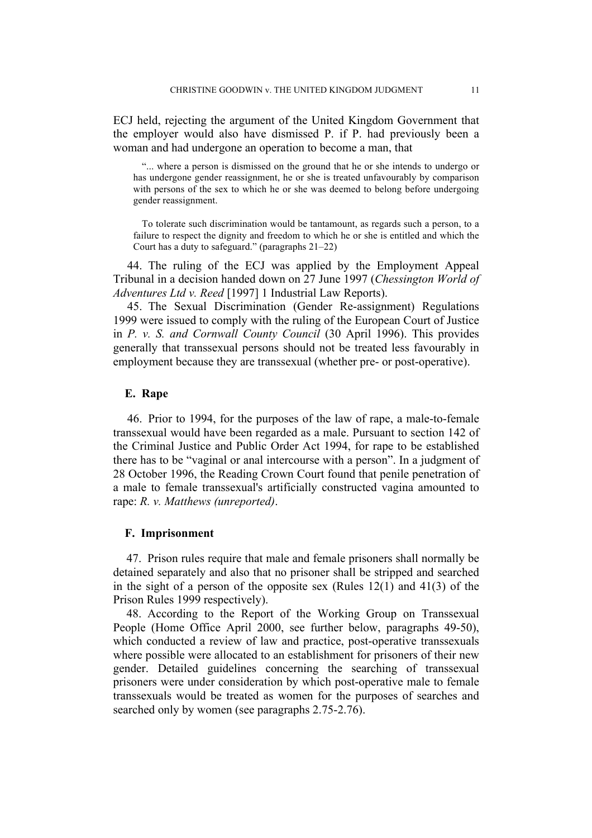ECJ held, rejecting the argument of the United Kingdom Government that the employer would also have dismissed P. if P. had previously been a woman and had undergone an operation to become a man, that

"... where a person is dismissed on the ground that he or she intends to undergo or has undergone gender reassignment, he or she is treated unfavourably by comparison with persons of the sex to which he or she was deemed to belong before undergoing gender reassignment.

To tolerate such discrimination would be tantamount, as regards such a person, to a failure to respect the dignity and freedom to which he or she is entitled and which the Court has a duty to safeguard." (paragraphs 21–22)

44. The ruling of the ECJ was applied by the Employment Appeal Tribunal in a decision handed down on 27 June 1997 (*Chessington World of Adventures Ltd v. Reed* [1997] 1 Industrial Law Reports).

45. The Sexual Discrimination (Gender Re-assignment) Regulations 1999 were issued to comply with the ruling of the European Court of Justice in *P. v. S. and Cornwall County Council* (30 April 1996). This provides generally that transsexual persons should not be treated less favourably in employment because they are transsexual (whether pre- or post-operative).

#### **E. Rape**

46. Prior to 1994, for the purposes of the law of rape, a male-to-female transsexual would have been regarded as a male. Pursuant to section 142 of the Criminal Justice and Public Order Act 1994, for rape to be established there has to be "vaginal or anal intercourse with a person". In a judgment of 28 October 1996, the Reading Crown Court found that penile penetration of a male to female transsexual's artificially constructed vagina amounted to rape: *R. v. Matthews (unreported)*.

#### **F. Imprisonment**

47. Prison rules require that male and female prisoners shall normally be detained separately and also that no prisoner shall be stripped and searched in the sight of a person of the opposite sex (Rules  $12(1)$  and  $41(3)$ ) of the Prison Rules 1999 respectively).

48. According to the Report of the Working Group on Transsexual People (Home Office April 2000, see further below, paragraphs 49-50), which conducted a review of law and practice, post-operative transsexuals where possible were allocated to an establishment for prisoners of their new gender. Detailed guidelines concerning the searching of transsexual prisoners were under consideration by which post-operative male to female transsexuals would be treated as women for the purposes of searches and searched only by women (see paragraphs 2.75-2.76).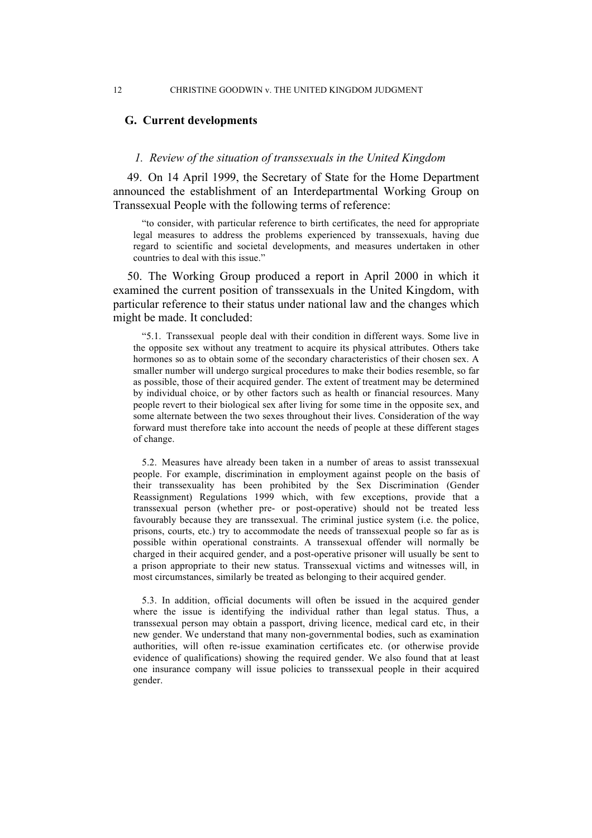#### 12 CHRISTINE GOODWIN v. THE UNITED KINGDOM JUDGMENT

#### **G. Current developments**

#### *1. Review of the situation of transsexuals in the United Kingdom*

49. On 14 April 1999, the Secretary of State for the Home Department announced the establishment of an Interdepartmental Working Group on Transsexual People with the following terms of reference:

"to consider, with particular reference to birth certificates, the need for appropriate legal measures to address the problems experienced by transsexuals, having due regard to scientific and societal developments, and measures undertaken in other countries to deal with this issue."

50. The Working Group produced a report in April 2000 in which it examined the current position of transsexuals in the United Kingdom, with particular reference to their status under national law and the changes which might be made. It concluded:

"5.1. Transsexual people deal with their condition in different ways. Some live in the opposite sex without any treatment to acquire its physical attributes. Others take hormones so as to obtain some of the secondary characteristics of their chosen sex. A smaller number will undergo surgical procedures to make their bodies resemble, so far as possible, those of their acquired gender. The extent of treatment may be determined by individual choice, or by other factors such as health or financial resources. Many people revert to their biological sex after living for some time in the opposite sex, and some alternate between the two sexes throughout their lives. Consideration of the way forward must therefore take into account the needs of people at these different stages of change.

5.2. Measures have already been taken in a number of areas to assist transsexual people. For example, discrimination in employment against people on the basis of their transsexuality has been prohibited by the Sex Discrimination (Gender Reassignment) Regulations 1999 which, with few exceptions, provide that a transsexual person (whether pre- or post-operative) should not be treated less favourably because they are transsexual. The criminal justice system (i.e. the police, prisons, courts, etc.) try to accommodate the needs of transsexual people so far as is possible within operational constraints. A transsexual offender will normally be charged in their acquired gender, and a post-operative prisoner will usually be sent to a prison appropriate to their new status. Transsexual victims and witnesses will, in most circumstances, similarly be treated as belonging to their acquired gender.

5.3. In addition, official documents will often be issued in the acquired gender where the issue is identifying the individual rather than legal status. Thus, a transsexual person may obtain a passport, driving licence, medical card etc, in their new gender. We understand that many non-governmental bodies, such as examination authorities, will often re-issue examination certificates etc. (or otherwise provide evidence of qualifications) showing the required gender. We also found that at least one insurance company will issue policies to transsexual people in their acquired gender.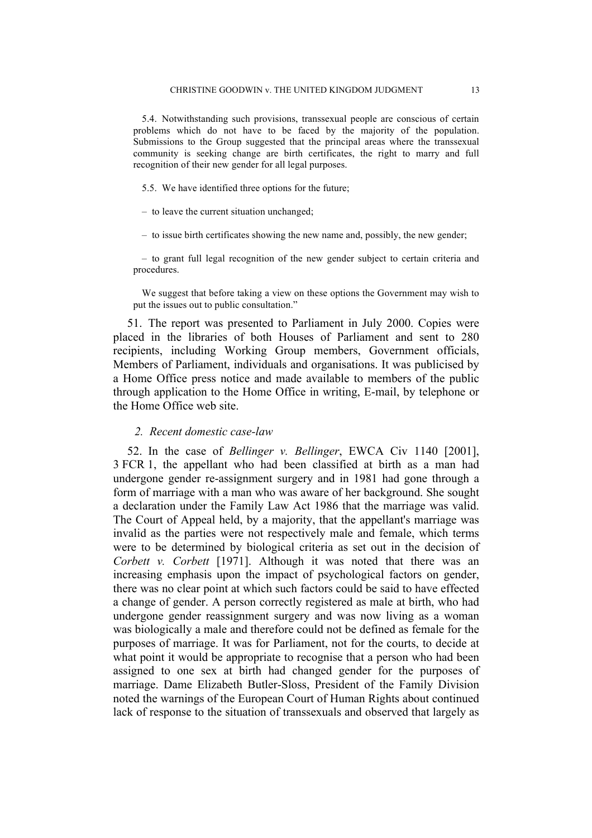5.4. Notwithstanding such provisions, transsexual people are conscious of certain problems which do not have to be faced by the majority of the population. Submissions to the Group suggested that the principal areas where the transsexual community is seeking change are birth certificates, the right to marry and full recognition of their new gender for all legal purposes.

5.5. We have identified three options for the future;

– to leave the current situation unchanged;

– to issue birth certificates showing the new name and, possibly, the new gender;

– to grant full legal recognition of the new gender subject to certain criteria and procedures.

We suggest that before taking a view on these options the Government may wish to put the issues out to public consultation."

51. The report was presented to Parliament in July 2000. Copies were placed in the libraries of both Houses of Parliament and sent to 280 recipients, including Working Group members, Government officials, Members of Parliament, individuals and organisations. It was publicised by a Home Office press notice and made available to members of the public through application to the Home Office in writing, E-mail, by telephone or the Home Office web site.

#### *2. Recent domestic case-law*

52. In the case of *Bellinger v. Bellinger*, EWCA Civ 1140 [2001], 3 FCR 1, the appellant who had been classified at birth as a man had undergone gender re-assignment surgery and in 1981 had gone through a form of marriage with a man who was aware of her background. She sought a declaration under the Family Law Act 1986 that the marriage was valid. The Court of Appeal held, by a majority, that the appellant's marriage was invalid as the parties were not respectively male and female, which terms were to be determined by biological criteria as set out in the decision of *Corbett v. Corbett* [1971]. Although it was noted that there was an increasing emphasis upon the impact of psychological factors on gender, there was no clear point at which such factors could be said to have effected a change of gender. A person correctly registered as male at birth, who had undergone gender reassignment surgery and was now living as a woman was biologically a male and therefore could not be defined as female for the purposes of marriage. It was for Parliament, not for the courts, to decide at what point it would be appropriate to recognise that a person who had been assigned to one sex at birth had changed gender for the purposes of marriage. Dame Elizabeth Butler-Sloss, President of the Family Division noted the warnings of the European Court of Human Rights about continued lack of response to the situation of transsexuals and observed that largely as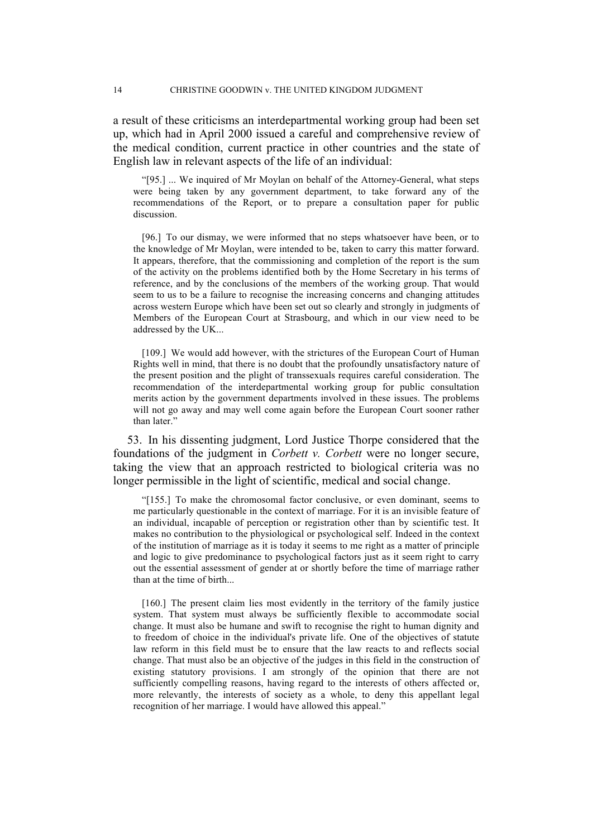a result of these criticisms an interdepartmental working group had been set up, which had in April 2000 issued a careful and comprehensive review of the medical condition, current practice in other countries and the state of English law in relevant aspects of the life of an individual:

"[95.] ... We inquired of Mr Moylan on behalf of the Attorney-General, what steps were being taken by any government department, to take forward any of the recommendations of the Report, or to prepare a consultation paper for public discussion.

[96.] To our dismay, we were informed that no steps whatsoever have been, or to the knowledge of Mr Moylan, were intended to be, taken to carry this matter forward. It appears, therefore, that the commissioning and completion of the report is the sum of the activity on the problems identified both by the Home Secretary in his terms of reference, and by the conclusions of the members of the working group. That would seem to us to be a failure to recognise the increasing concerns and changing attitudes across western Europe which have been set out so clearly and strongly in judgments of Members of the European Court at Strasbourg, and which in our view need to be addressed by the UK...

[109.] We would add however, with the strictures of the European Court of Human Rights well in mind, that there is no doubt that the profoundly unsatisfactory nature of the present position and the plight of transsexuals requires careful consideration. The recommendation of the interdepartmental working group for public consultation merits action by the government departments involved in these issues. The problems will not go away and may well come again before the European Court sooner rather than later."

53. In his dissenting judgment, Lord Justice Thorpe considered that the foundations of the judgment in *Corbett v. Corbett* were no longer secure, taking the view that an approach restricted to biological criteria was no longer permissible in the light of scientific, medical and social change.

"[155.] To make the chromosomal factor conclusive, or even dominant, seems to me particularly questionable in the context of marriage. For it is an invisible feature of an individual, incapable of perception or registration other than by scientific test. It makes no contribution to the physiological or psychological self. Indeed in the context of the institution of marriage as it is today it seems to me right as a matter of principle and logic to give predominance to psychological factors just as it seem right to carry out the essential assessment of gender at or shortly before the time of marriage rather than at the time of birth...

[160.] The present claim lies most evidently in the territory of the family justice system. That system must always be sufficiently flexible to accommodate social change. It must also be humane and swift to recognise the right to human dignity and to freedom of choice in the individual's private life. One of the objectives of statute law reform in this field must be to ensure that the law reacts to and reflects social change. That must also be an objective of the judges in this field in the construction of existing statutory provisions. I am strongly of the opinion that there are not sufficiently compelling reasons, having regard to the interests of others affected or, more relevantly, the interests of society as a whole, to deny this appellant legal recognition of her marriage. I would have allowed this appeal."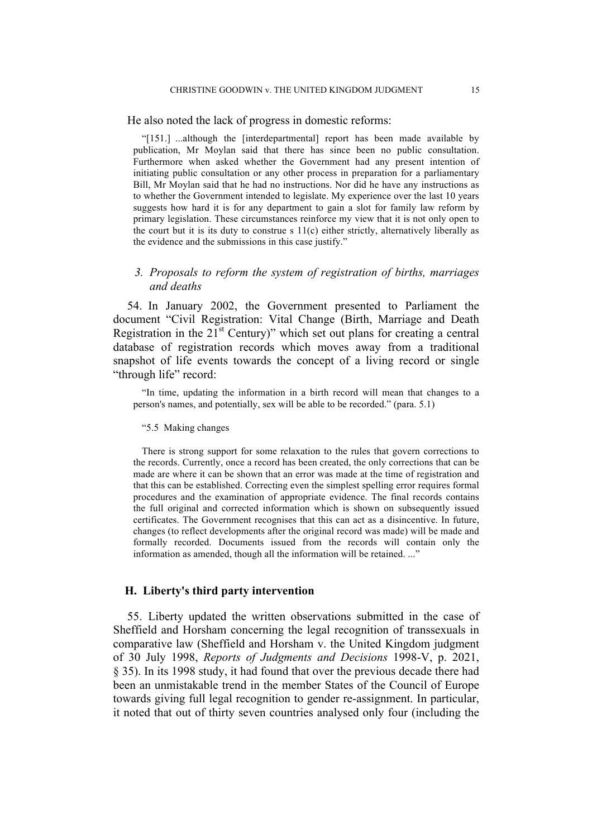He also noted the lack of progress in domestic reforms:

"[151.] ...although the [interdepartmental] report has been made available by publication, Mr Moylan said that there has since been no public consultation. Furthermore when asked whether the Government had any present intention of initiating public consultation or any other process in preparation for a parliamentary Bill, Mr Moylan said that he had no instructions. Nor did he have any instructions as to whether the Government intended to legislate. My experience over the last 10 years suggests how hard it is for any department to gain a slot for family law reform by primary legislation. These circumstances reinforce my view that it is not only open to the court but it is its duty to construe s  $11(c)$  either strictly, alternatively liberally as the evidence and the submissions in this case justify."

## *3. Proposals to reform the system of registration of births, marriages and deaths*

54. In January 2002, the Government presented to Parliament the document "Civil Registration: Vital Change (Birth, Marriage and Death Registration in the  $21<sup>st</sup>$  Century)" which set out plans for creating a central database of registration records which moves away from a traditional snapshot of life events towards the concept of a living record or single "through life" record:

"In time, updating the information in a birth record will mean that changes to a person's names, and potentially, sex will be able to be recorded." (para. 5.1)

#### "5.5 Making changes

There is strong support for some relaxation to the rules that govern corrections to the records. Currently, once a record has been created, the only corrections that can be made are where it can be shown that an error was made at the time of registration and that this can be established. Correcting even the simplest spelling error requires formal procedures and the examination of appropriate evidence. The final records contains the full original and corrected information which is shown on subsequently issued certificates. The Government recognises that this can act as a disincentive. In future, changes (to reflect developments after the original record was made) will be made and formally recorded. Documents issued from the records will contain only the information as amended, though all the information will be retained. ..."

#### **H. Liberty's third party intervention**

55. Liberty updated the written observations submitted in the case of Sheffield and Horsham concerning the legal recognition of transsexuals in comparative law (Sheffield and Horsham v. the United Kingdom judgment of 30 July 1998, *Reports of Judgments and Decisions* 1998-V, p. 2021, § 35). In its 1998 study, it had found that over the previous decade there had been an unmistakable trend in the member States of the Council of Europe towards giving full legal recognition to gender re-assignment. In particular, it noted that out of thirty seven countries analysed only four (including the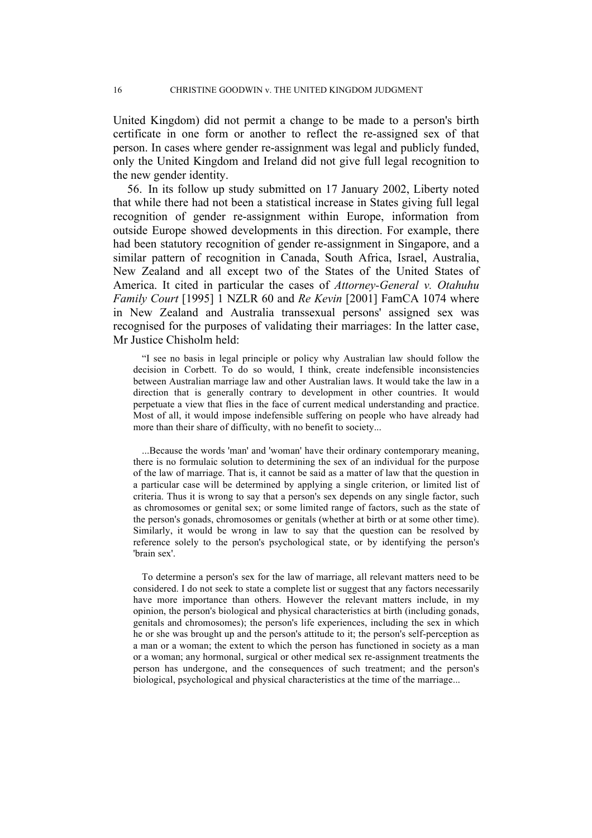United Kingdom) did not permit a change to be made to a person's birth certificate in one form or another to reflect the re-assigned sex of that person. In cases where gender re-assignment was legal and publicly funded, only the United Kingdom and Ireland did not give full legal recognition to the new gender identity.

56. In its follow up study submitted on 17 January 2002, Liberty noted that while there had not been a statistical increase in States giving full legal recognition of gender re-assignment within Europe, information from outside Europe showed developments in this direction. For example, there had been statutory recognition of gender re-assignment in Singapore, and a similar pattern of recognition in Canada, South Africa, Israel, Australia, New Zealand and all except two of the States of the United States of America. It cited in particular the cases of *Attorney-General v. Otahuhu Family Court* [1995] 1 NZLR 60 and *Re Kevin* [2001] FamCA 1074 where in New Zealand and Australia transsexual persons' assigned sex was recognised for the purposes of validating their marriages: In the latter case, Mr Justice Chisholm held:

"I see no basis in legal principle or policy why Australian law should follow the decision in Corbett. To do so would, I think, create indefensible inconsistencies between Australian marriage law and other Australian laws. It would take the law in a direction that is generally contrary to development in other countries. It would perpetuate a view that flies in the face of current medical understanding and practice. Most of all, it would impose indefensible suffering on people who have already had more than their share of difficulty, with no benefit to society...

...Because the words 'man' and 'woman' have their ordinary contemporary meaning, there is no formulaic solution to determining the sex of an individual for the purpose of the law of marriage. That is, it cannot be said as a matter of law that the question in a particular case will be determined by applying a single criterion, or limited list of criteria. Thus it is wrong to say that a person's sex depends on any single factor, such as chromosomes or genital sex; or some limited range of factors, such as the state of the person's gonads, chromosomes or genitals (whether at birth or at some other time). Similarly, it would be wrong in law to say that the question can be resolved by reference solely to the person's psychological state, or by identifying the person's 'brain sex'.

To determine a person's sex for the law of marriage, all relevant matters need to be considered. I do not seek to state a complete list or suggest that any factors necessarily have more importance than others. However the relevant matters include, in my opinion, the person's biological and physical characteristics at birth (including gonads, genitals and chromosomes); the person's life experiences, including the sex in which he or she was brought up and the person's attitude to it; the person's self-perception as a man or a woman; the extent to which the person has functioned in society as a man or a woman; any hormonal, surgical or other medical sex re-assignment treatments the person has undergone, and the consequences of such treatment; and the person's biological, psychological and physical characteristics at the time of the marriage...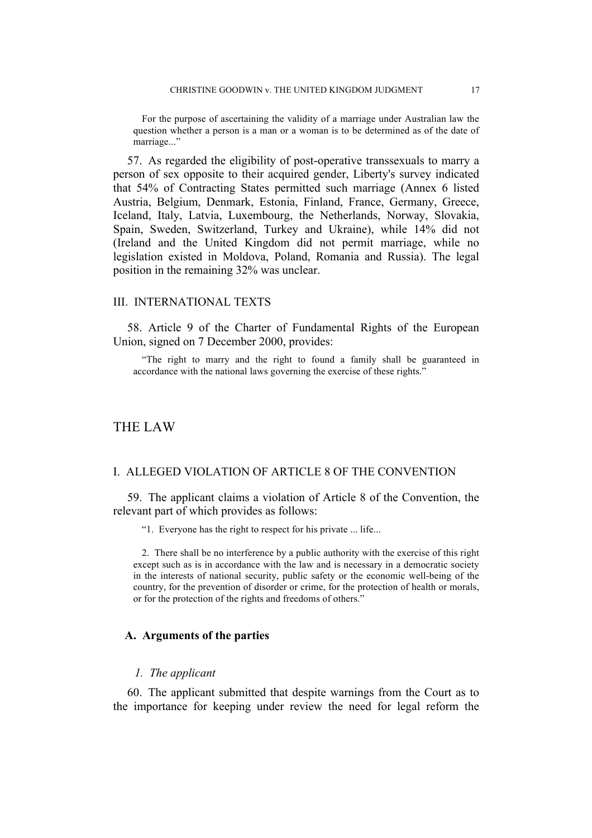For the purpose of ascertaining the validity of a marriage under Australian law the question whether a person is a man or a woman is to be determined as of the date of marriage..."

57. As regarded the eligibility of post-operative transsexuals to marry a person of sex opposite to their acquired gender, Liberty's survey indicated that 54% of Contracting States permitted such marriage (Annex 6 listed Austria, Belgium, Denmark, Estonia, Finland, France, Germany, Greece, Iceland, Italy, Latvia, Luxembourg, the Netherlands, Norway, Slovakia, Spain, Sweden, Switzerland, Turkey and Ukraine), while 14% did not (Ireland and the United Kingdom did not permit marriage, while no legislation existed in Moldova, Poland, Romania and Russia). The legal position in the remaining 32% was unclear.

#### III. INTERNATIONAL TEXTS

58. Article 9 of the Charter of Fundamental Rights of the European Union, signed on 7 December 2000, provides:

"The right to marry and the right to found a family shall be guaranteed in accordance with the national laws governing the exercise of these rights."

### THE LAW

#### I. ALLEGED VIOLATION OF ARTICLE 8 OF THE CONVENTION

59. The applicant claims a violation of Article 8 of the Convention, the relevant part of which provides as follows:

"1. Everyone has the right to respect for his private ... life...

2. There shall be no interference by a public authority with the exercise of this right except such as is in accordance with the law and is necessary in a democratic society in the interests of national security, public safety or the economic well-being of the country, for the prevention of disorder or crime, for the protection of health or morals, or for the protection of the rights and freedoms of others."

### **A. Arguments of the parties**

#### *1. The applicant*

60. The applicant submitted that despite warnings from the Court as to the importance for keeping under review the need for legal reform the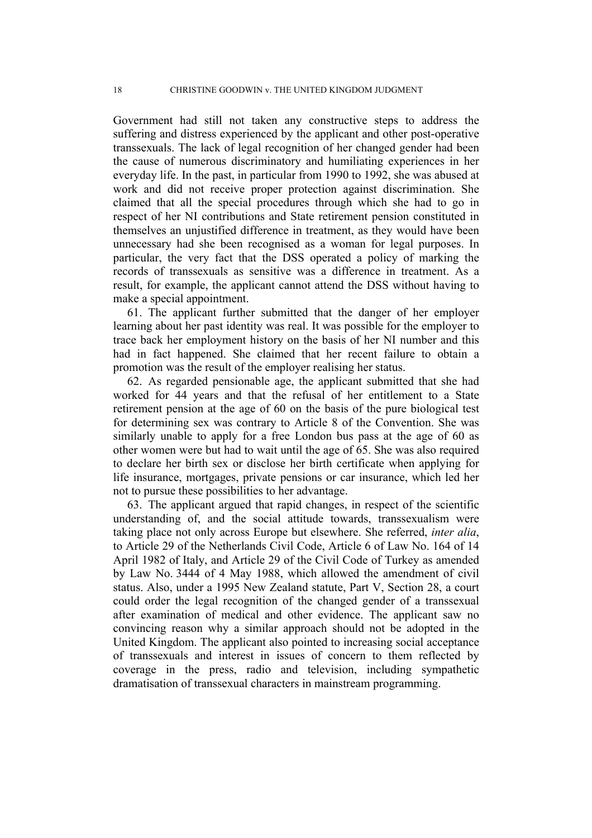Government had still not taken any constructive steps to address the suffering and distress experienced by the applicant and other post-operative transsexuals. The lack of legal recognition of her changed gender had been the cause of numerous discriminatory and humiliating experiences in her everyday life. In the past, in particular from 1990 to 1992, she was abused at work and did not receive proper protection against discrimination. She claimed that all the special procedures through which she had to go in respect of her NI contributions and State retirement pension constituted in themselves an unjustified difference in treatment, as they would have been unnecessary had she been recognised as a woman for legal purposes. In particular, the very fact that the DSS operated a policy of marking the records of transsexuals as sensitive was a difference in treatment. As a result, for example, the applicant cannot attend the DSS without having to make a special appointment.

61. The applicant further submitted that the danger of her employer learning about her past identity was real. It was possible for the employer to trace back her employment history on the basis of her NI number and this had in fact happened. She claimed that her recent failure to obtain a promotion was the result of the employer realising her status.

62. As regarded pensionable age, the applicant submitted that she had worked for 44 years and that the refusal of her entitlement to a State retirement pension at the age of 60 on the basis of the pure biological test for determining sex was contrary to Article 8 of the Convention. She was similarly unable to apply for a free London bus pass at the age of 60 as other women were but had to wait until the age of 65. She was also required to declare her birth sex or disclose her birth certificate when applying for life insurance, mortgages, private pensions or car insurance, which led her not to pursue these possibilities to her advantage.

63. The applicant argued that rapid changes, in respect of the scientific understanding of, and the social attitude towards, transsexualism were taking place not only across Europe but elsewhere. She referred, *inter alia*, to Article 29 of the Netherlands Civil Code, Article 6 of Law No. 164 of 14 April 1982 of Italy, and Article 29 of the Civil Code of Turkey as amended by Law No. 3444 of 4 May 1988, which allowed the amendment of civil status. Also, under a 1995 New Zealand statute, Part V, Section 28, a court could order the legal recognition of the changed gender of a transsexual after examination of medical and other evidence. The applicant saw no convincing reason why a similar approach should not be adopted in the United Kingdom. The applicant also pointed to increasing social acceptance of transsexuals and interest in issues of concern to them reflected by coverage in the press, radio and television, including sympathetic dramatisation of transsexual characters in mainstream programming.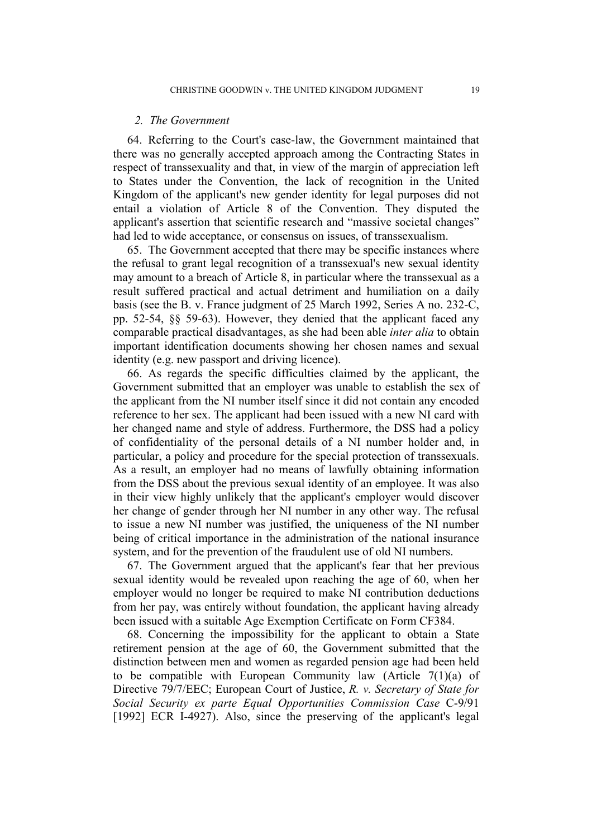#### *2. The Government*

64. Referring to the Court's case-law, the Government maintained that there was no generally accepted approach among the Contracting States in respect of transsexuality and that, in view of the margin of appreciation left to States under the Convention, the lack of recognition in the United Kingdom of the applicant's new gender identity for legal purposes did not entail a violation of Article 8 of the Convention. They disputed the applicant's assertion that scientific research and "massive societal changes" had led to wide acceptance, or consensus on issues, of transsexualism.

65. The Government accepted that there may be specific instances where the refusal to grant legal recognition of a transsexual's new sexual identity may amount to a breach of Article 8, in particular where the transsexual as a result suffered practical and actual detriment and humiliation on a daily basis (see the B. v. France judgment of 25 March 1992, Series A no. 232-C, pp. 52-54, §§ 59-63). However, they denied that the applicant faced any comparable practical disadvantages, as she had been able *inter alia* to obtain important identification documents showing her chosen names and sexual identity (e.g. new passport and driving licence).

66. As regards the specific difficulties claimed by the applicant, the Government submitted that an employer was unable to establish the sex of the applicant from the NI number itself since it did not contain any encoded reference to her sex. The applicant had been issued with a new NI card with her changed name and style of address. Furthermore, the DSS had a policy of confidentiality of the personal details of a NI number holder and, in particular, a policy and procedure for the special protection of transsexuals. As a result, an employer had no means of lawfully obtaining information from the DSS about the previous sexual identity of an employee. It was also in their view highly unlikely that the applicant's employer would discover her change of gender through her NI number in any other way. The refusal to issue a new NI number was justified, the uniqueness of the NI number being of critical importance in the administration of the national insurance system, and for the prevention of the fraudulent use of old NI numbers.

67. The Government argued that the applicant's fear that her previous sexual identity would be revealed upon reaching the age of 60, when her employer would no longer be required to make NI contribution deductions from her pay, was entirely without foundation, the applicant having already been issued with a suitable Age Exemption Certificate on Form CF384.

68. Concerning the impossibility for the applicant to obtain a State retirement pension at the age of 60, the Government submitted that the distinction between men and women as regarded pension age had been held to be compatible with European Community law (Article  $7(1)(a)$  of Directive 79/7/EEC; European Court of Justice, *R. v. Secretary of State for Social Security ex parte Equal Opportunities Commission Case* C-9/91 [1992] ECR I-4927). Also, since the preserving of the applicant's legal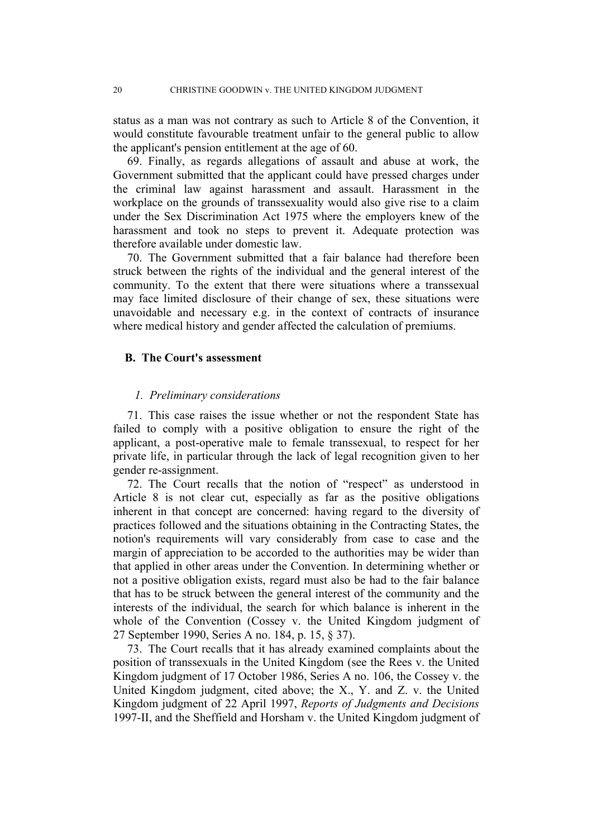status as a man was not contrary as such to Article 8 of the Convention, it would constitute favourable treatment unfair to the general public to allow the applicant's pension entitlement at the age of 60.

69. Finally, as regards allegations of assault and abuse at work, the Government submitted that the applicant could have pressed charges under the criminal law against harassment and assault. Harassment in the workplace on the grounds of transsexuality would also give rise to a claim under the Sex Discrimination Act 1975 where the employers knew of the harassment and took no steps to prevent it. Adequate protection was therefore available under domestic law.

70. The Government submitted that a fair balance had therefore been struck between the rights of the individual and the general interest of the community. To the extent that there were situations where a transsexual may face limited disclosure of their change of sex, these situations were unavoidable and necessary e.g. in the context of contracts of insurance where medical history and gender affected the calculation of premiums.

### **B. The Court's assessment**

#### *1. Preliminary considerations*

71. This case raises the issue whether or not the respondent State has failed to comply with a positive obligation to ensure the right of the applicant, a post-operative male to female transsexual, to respect for her private life, in particular through the lack of legal recognition given to her gender re-assignment.

72. The Court recalls that the notion of "respect" as understood in Article 8 is not clear cut, especially as far as the positive obligations inherent in that concept are concerned: having regard to the diversity of practices followed and the situations obtaining in the Contracting States, the notion's requirements will vary considerably from case to case and the margin of appreciation to be accorded to the authorities may be wider than that applied in other areas under the Convention. In determining whether or not a positive obligation exists, regard must also be had to the fair balance that has to be struck between the general interest of the community and the interests of the individual, the search for which balance is inherent in the whole of the Convention (Cossey v. the United Kingdom judgment of 27 September 1990, Series A no. 184, p. 15, § 37).

73. The Court recalls that it has already examined complaints about the position of transsexuals in the United Kingdom (see the Rees v. the United Kingdom judgment of 17 October 1986, Series A no. 106, the Cossey v. the United Kingdom judgment, cited above; the X., Y. and Z. v. the United Kingdom judgment of 22 April 1997, *Reports of Judgments and Decisions* 1997-II, and the Sheffield and Horsham v. the United Kingdom judgment of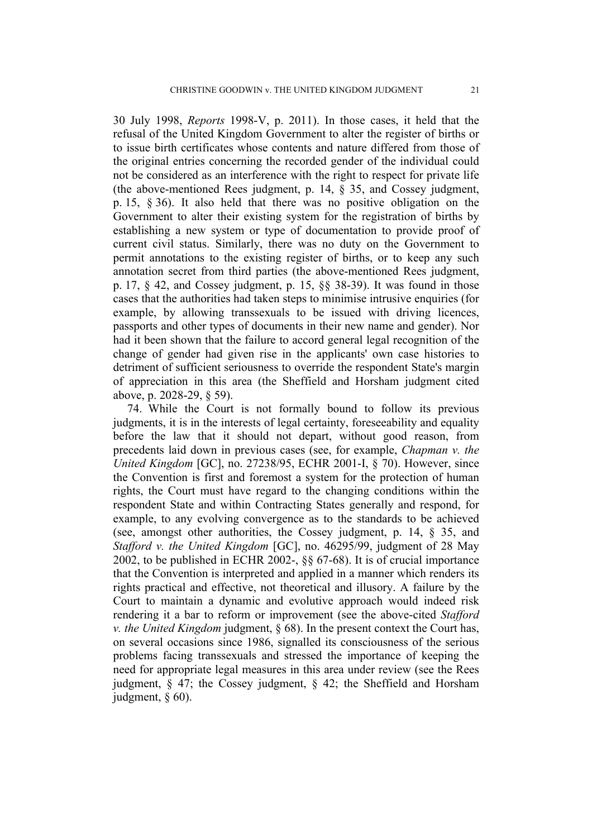30 July 1998, *Reports* 1998-V, p. 2011). In those cases, it held that the refusal of the United Kingdom Government to alter the register of births or to issue birth certificates whose contents and nature differed from those of the original entries concerning the recorded gender of the individual could not be considered as an interference with the right to respect for private life (the above-mentioned Rees judgment, p. 14, § 35, and Cossey judgment, p. 15, § 36). It also held that there was no positive obligation on the Government to alter their existing system for the registration of births by establishing a new system or type of documentation to provide proof of current civil status. Similarly, there was no duty on the Government to permit annotations to the existing register of births, or to keep any such annotation secret from third parties (the above-mentioned Rees judgment, p. 17, § 42, and Cossey judgment, p. 15, §§ 38-39). It was found in those cases that the authorities had taken steps to minimise intrusive enquiries (for example, by allowing transsexuals to be issued with driving licences, passports and other types of documents in their new name and gender). Nor had it been shown that the failure to accord general legal recognition of the change of gender had given rise in the applicants' own case histories to detriment of sufficient seriousness to override the respondent State's margin of appreciation in this area (the Sheffield and Horsham judgment cited above, p. 2028-29, § 59).

74. While the Court is not formally bound to follow its previous judgments, it is in the interests of legal certainty, foreseeability and equality before the law that it should not depart, without good reason, from precedents laid down in previous cases (see, for example, *Chapman v. the United Kingdom* [GC], no. 27238/95, ECHR 2001-I, § 70). However, since the Convention is first and foremost a system for the protection of human rights, the Court must have regard to the changing conditions within the respondent State and within Contracting States generally and respond, for example, to any evolving convergence as to the standards to be achieved (see, amongst other authorities, the Cossey judgment, p. 14, § 35, and *Stafford v. the United Kingdom* [GC], no. 46295/99, judgment of 28 May 2002, to be published in ECHR 2002-, §§ 67-68). It is of crucial importance that the Convention is interpreted and applied in a manner which renders its rights practical and effective, not theoretical and illusory. A failure by the Court to maintain a dynamic and evolutive approach would indeed risk rendering it a bar to reform or improvement (see the above-cited *Stafford v. the United Kingdom* judgment, § 68). In the present context the Court has, on several occasions since 1986, signalled its consciousness of the serious problems facing transsexuals and stressed the importance of keeping the need for appropriate legal measures in this area under review (see the Rees judgment, § 47; the Cossey judgment, § 42; the Sheffield and Horsham judgment, § 60).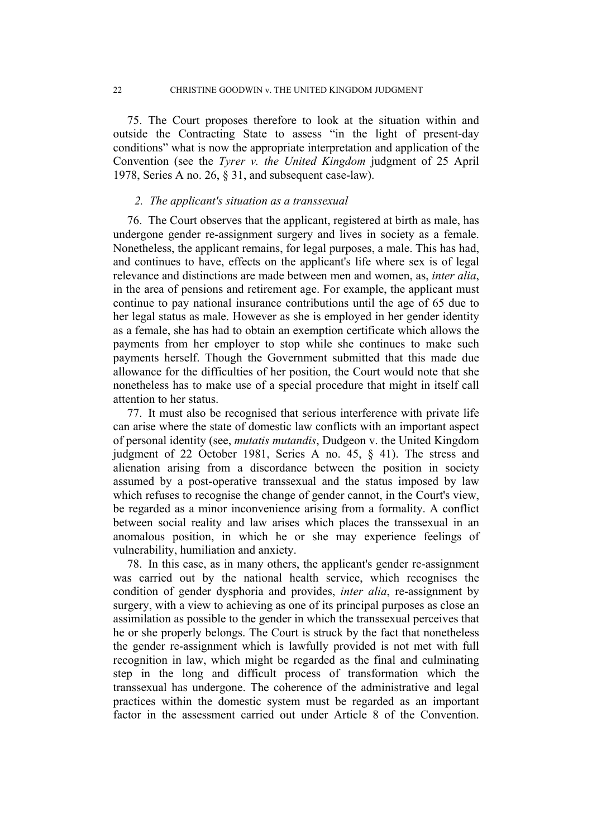75. The Court proposes therefore to look at the situation within and outside the Contracting State to assess "in the light of present-day conditions" what is now the appropriate interpretation and application of the Convention (see the *Tyrer v. the United Kingdom* judgment of 25 April 1978, Series A no. 26, § 31, and subsequent case-law).

#### *2. The applicant's situation as a transsexual*

76. The Court observes that the applicant, registered at birth as male, has undergone gender re-assignment surgery and lives in society as a female. Nonetheless, the applicant remains, for legal purposes, a male. This has had, and continues to have, effects on the applicant's life where sex is of legal relevance and distinctions are made between men and women, as, *inter alia*, in the area of pensions and retirement age. For example, the applicant must continue to pay national insurance contributions until the age of 65 due to her legal status as male. However as she is employed in her gender identity as a female, she has had to obtain an exemption certificate which allows the payments from her employer to stop while she continues to make such payments herself. Though the Government submitted that this made due allowance for the difficulties of her position, the Court would note that she nonetheless has to make use of a special procedure that might in itself call attention to her status.

77. It must also be recognised that serious interference with private life can arise where the state of domestic law conflicts with an important aspect of personal identity (see, *mutatis mutandis*, Dudgeon v. the United Kingdom judgment of 22 October 1981, Series A no. 45, § 41). The stress and alienation arising from a discordance between the position in society assumed by a post-operative transsexual and the status imposed by law which refuses to recognise the change of gender cannot, in the Court's view, be regarded as a minor inconvenience arising from a formality. A conflict between social reality and law arises which places the transsexual in an anomalous position, in which he or she may experience feelings of vulnerability, humiliation and anxiety.

78. In this case, as in many others, the applicant's gender re-assignment was carried out by the national health service, which recognises the condition of gender dysphoria and provides, *inter alia*, re-assignment by surgery, with a view to achieving as one of its principal purposes as close an assimilation as possible to the gender in which the transsexual perceives that he or she properly belongs. The Court is struck by the fact that nonetheless the gender re-assignment which is lawfully provided is not met with full recognition in law, which might be regarded as the final and culminating step in the long and difficult process of transformation which the transsexual has undergone. The coherence of the administrative and legal practices within the domestic system must be regarded as an important factor in the assessment carried out under Article 8 of the Convention.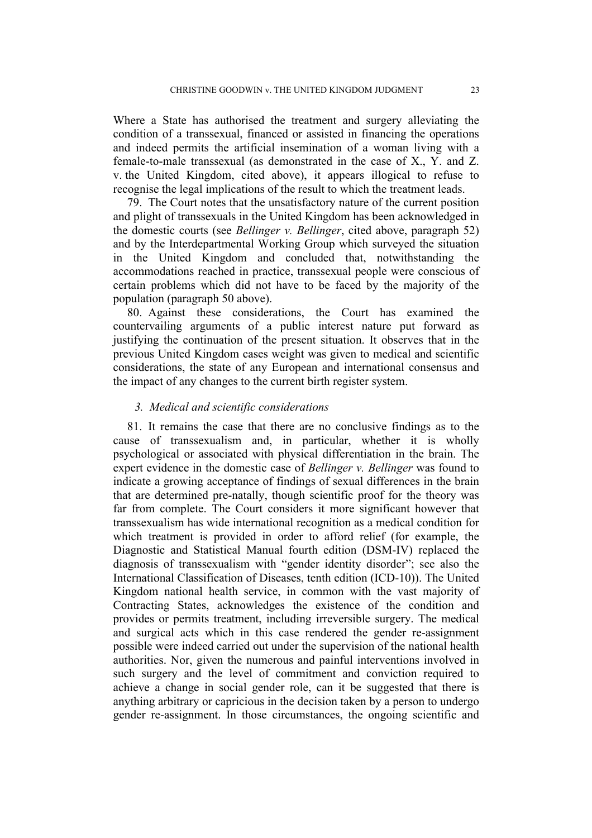Where a State has authorised the treatment and surgery alleviating the condition of a transsexual, financed or assisted in financing the operations and indeed permits the artificial insemination of a woman living with a female-to-male transsexual (as demonstrated in the case of X., Y. and Z. v. the United Kingdom, cited above), it appears illogical to refuse to recognise the legal implications of the result to which the treatment leads.

79. The Court notes that the unsatisfactory nature of the current position and plight of transsexuals in the United Kingdom has been acknowledged in the domestic courts (see *Bellinger v. Bellinger*, cited above, paragraph 52) and by the Interdepartmental Working Group which surveyed the situation in the United Kingdom and concluded that, notwithstanding the accommodations reached in practice, transsexual people were conscious of certain problems which did not have to be faced by the majority of the population (paragraph 50 above).

80. Against these considerations, the Court has examined the countervailing arguments of a public interest nature put forward as justifying the continuation of the present situation. It observes that in the previous United Kingdom cases weight was given to medical and scientific considerations, the state of any European and international consensus and the impact of any changes to the current birth register system.

#### *3. Medical and scientific considerations*

81. It remains the case that there are no conclusive findings as to the cause of transsexualism and, in particular, whether it is wholly psychological or associated with physical differentiation in the brain. The expert evidence in the domestic case of *Bellinger v. Bellinger* was found to indicate a growing acceptance of findings of sexual differences in the brain that are determined pre-natally, though scientific proof for the theory was far from complete. The Court considers it more significant however that transsexualism has wide international recognition as a medical condition for which treatment is provided in order to afford relief (for example, the Diagnostic and Statistical Manual fourth edition (DSM-IV) replaced the diagnosis of transsexualism with "gender identity disorder"; see also the International Classification of Diseases, tenth edition (ICD-10)). The United Kingdom national health service, in common with the vast majority of Contracting States, acknowledges the existence of the condition and provides or permits treatment, including irreversible surgery. The medical and surgical acts which in this case rendered the gender re-assignment possible were indeed carried out under the supervision of the national health authorities. Nor, given the numerous and painful interventions involved in such surgery and the level of commitment and conviction required to achieve a change in social gender role, can it be suggested that there is anything arbitrary or capricious in the decision taken by a person to undergo gender re-assignment. In those circumstances, the ongoing scientific and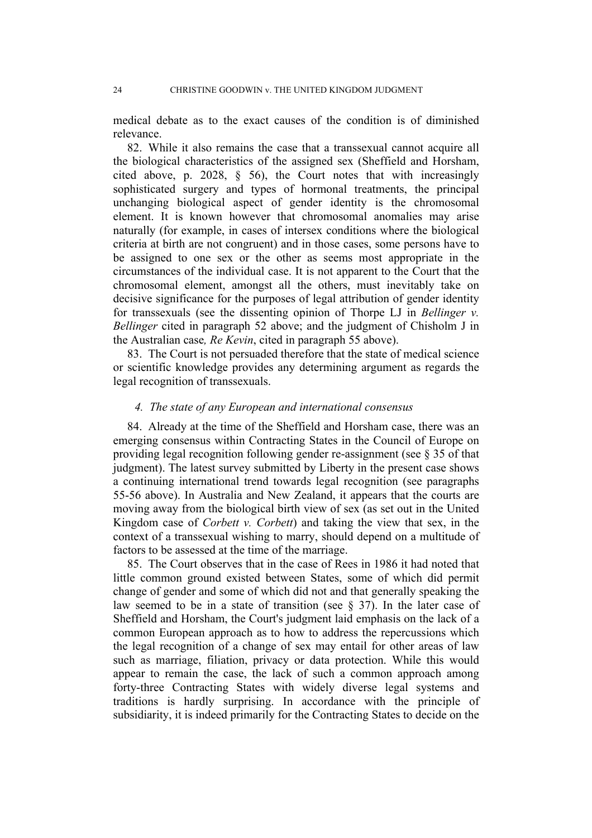medical debate as to the exact causes of the condition is of diminished relevance.

82. While it also remains the case that a transsexual cannot acquire all the biological characteristics of the assigned sex (Sheffield and Horsham, cited above, p. 2028, § 56), the Court notes that with increasingly sophisticated surgery and types of hormonal treatments, the principal unchanging biological aspect of gender identity is the chromosomal element. It is known however that chromosomal anomalies may arise naturally (for example, in cases of intersex conditions where the biological criteria at birth are not congruent) and in those cases, some persons have to be assigned to one sex or the other as seems most appropriate in the circumstances of the individual case. It is not apparent to the Court that the chromosomal element, amongst all the others, must inevitably take on decisive significance for the purposes of legal attribution of gender identity for transsexuals (see the dissenting opinion of Thorpe LJ in *Bellinger v. Bellinger* cited in paragraph 52 above; and the judgment of Chisholm J in the Australian case*, Re Kevin*, cited in paragraph 55 above).

83. The Court is not persuaded therefore that the state of medical science or scientific knowledge provides any determining argument as regards the legal recognition of transsexuals.

### *4. The state of any European and international consensus*

84. Already at the time of the Sheffield and Horsham case, there was an emerging consensus within Contracting States in the Council of Europe on providing legal recognition following gender re-assignment (see § 35 of that judgment). The latest survey submitted by Liberty in the present case shows a continuing international trend towards legal recognition (see paragraphs 55-56 above). In Australia and New Zealand, it appears that the courts are moving away from the biological birth view of sex (as set out in the United Kingdom case of *Corbett v. Corbett*) and taking the view that sex, in the context of a transsexual wishing to marry, should depend on a multitude of factors to be assessed at the time of the marriage.

85. The Court observes that in the case of Rees in 1986 it had noted that little common ground existed between States, some of which did permit change of gender and some of which did not and that generally speaking the law seemed to be in a state of transition (see  $\S$  37). In the later case of Sheffield and Horsham, the Court's judgment laid emphasis on the lack of a common European approach as to how to address the repercussions which the legal recognition of a change of sex may entail for other areas of law such as marriage, filiation, privacy or data protection. While this would appear to remain the case, the lack of such a common approach among forty-three Contracting States with widely diverse legal systems and traditions is hardly surprising. In accordance with the principle of subsidiarity, it is indeed primarily for the Contracting States to decide on the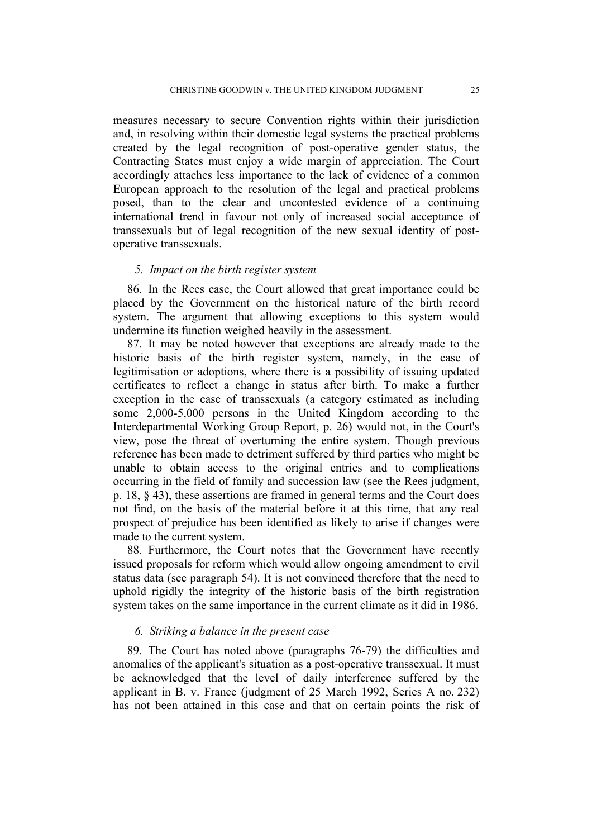measures necessary to secure Convention rights within their jurisdiction and, in resolving within their domestic legal systems the practical problems created by the legal recognition of post-operative gender status, the Contracting States must enjoy a wide margin of appreciation. The Court accordingly attaches less importance to the lack of evidence of a common European approach to the resolution of the legal and practical problems posed, than to the clear and uncontested evidence of a continuing international trend in favour not only of increased social acceptance of transsexuals but of legal recognition of the new sexual identity of postoperative transsexuals.

#### *5. Impact on the birth register system*

86. In the Rees case, the Court allowed that great importance could be placed by the Government on the historical nature of the birth record system. The argument that allowing exceptions to this system would undermine its function weighed heavily in the assessment.

87. It may be noted however that exceptions are already made to the historic basis of the birth register system, namely, in the case of legitimisation or adoptions, where there is a possibility of issuing updated certificates to reflect a change in status after birth. To make a further exception in the case of transsexuals (a category estimated as including some 2,000-5,000 persons in the United Kingdom according to the Interdepartmental Working Group Report, p. 26) would not, in the Court's view, pose the threat of overturning the entire system. Though previous reference has been made to detriment suffered by third parties who might be unable to obtain access to the original entries and to complications occurring in the field of family and succession law (see the Rees judgment, p. 18, § 43), these assertions are framed in general terms and the Court does not find, on the basis of the material before it at this time, that any real prospect of prejudice has been identified as likely to arise if changes were made to the current system.

88. Furthermore, the Court notes that the Government have recently issued proposals for reform which would allow ongoing amendment to civil status data (see paragraph 54). It is not convinced therefore that the need to uphold rigidly the integrity of the historic basis of the birth registration system takes on the same importance in the current climate as it did in 1986.

#### *6. Striking a balance in the present case*

89. The Court has noted above (paragraphs 76-79) the difficulties and anomalies of the applicant's situation as a post-operative transsexual. It must be acknowledged that the level of daily interference suffered by the applicant in B. v. France (judgment of 25 March 1992, Series A no. 232) has not been attained in this case and that on certain points the risk of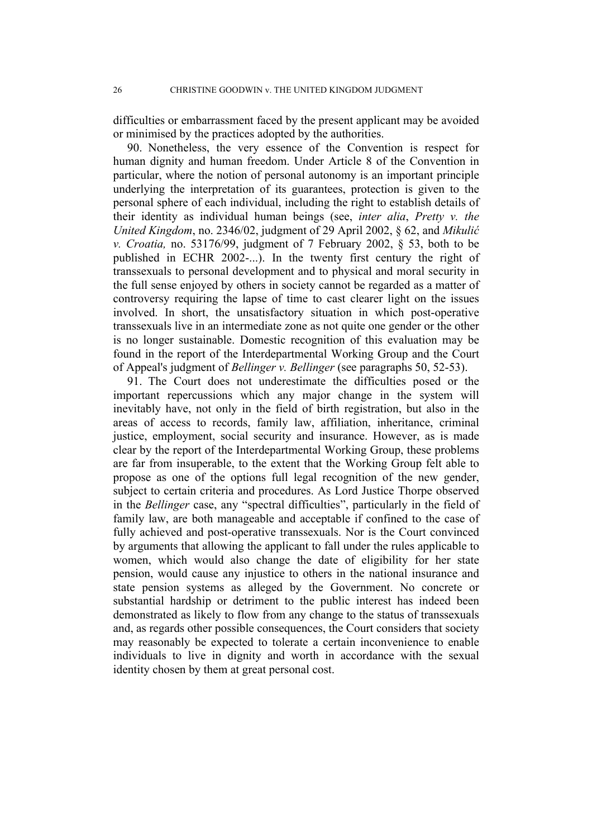difficulties or embarrassment faced by the present applicant may be avoided or minimised by the practices adopted by the authorities.

90. Nonetheless, the very essence of the Convention is respect for human dignity and human freedom. Under Article 8 of the Convention in particular, where the notion of personal autonomy is an important principle underlying the interpretation of its guarantees, protection is given to the personal sphere of each individual, including the right to establish details of their identity as individual human beings (see, *inter alia*, *Pretty v. the United Kingdom*, no. 2346/02, judgment of 29 April 2002, § 62, and *Mikulić v. Croatia,* no. 53176/99, judgment of 7 February 2002, § 53, both to be published in ECHR 2002-...). In the twenty first century the right of transsexuals to personal development and to physical and moral security in the full sense enjoyed by others in society cannot be regarded as a matter of controversy requiring the lapse of time to cast clearer light on the issues involved. In short, the unsatisfactory situation in which post-operative transsexuals live in an intermediate zone as not quite one gender or the other is no longer sustainable. Domestic recognition of this evaluation may be found in the report of the Interdepartmental Working Group and the Court of Appeal's judgment of *Bellinger v. Bellinger* (see paragraphs 50, 52-53).

91. The Court does not underestimate the difficulties posed or the important repercussions which any major change in the system will inevitably have, not only in the field of birth registration, but also in the areas of access to records, family law, affiliation, inheritance, criminal justice, employment, social security and insurance. However, as is made clear by the report of the Interdepartmental Working Group, these problems are far from insuperable, to the extent that the Working Group felt able to propose as one of the options full legal recognition of the new gender, subject to certain criteria and procedures. As Lord Justice Thorpe observed in the *Bellinger* case, any "spectral difficulties", particularly in the field of family law, are both manageable and acceptable if confined to the case of fully achieved and post-operative transsexuals. Nor is the Court convinced by arguments that allowing the applicant to fall under the rules applicable to women, which would also change the date of eligibility for her state pension, would cause any injustice to others in the national insurance and state pension systems as alleged by the Government. No concrete or substantial hardship or detriment to the public interest has indeed been demonstrated as likely to flow from any change to the status of transsexuals and, as regards other possible consequences, the Court considers that society may reasonably be expected to tolerate a certain inconvenience to enable individuals to live in dignity and worth in accordance with the sexual identity chosen by them at great personal cost.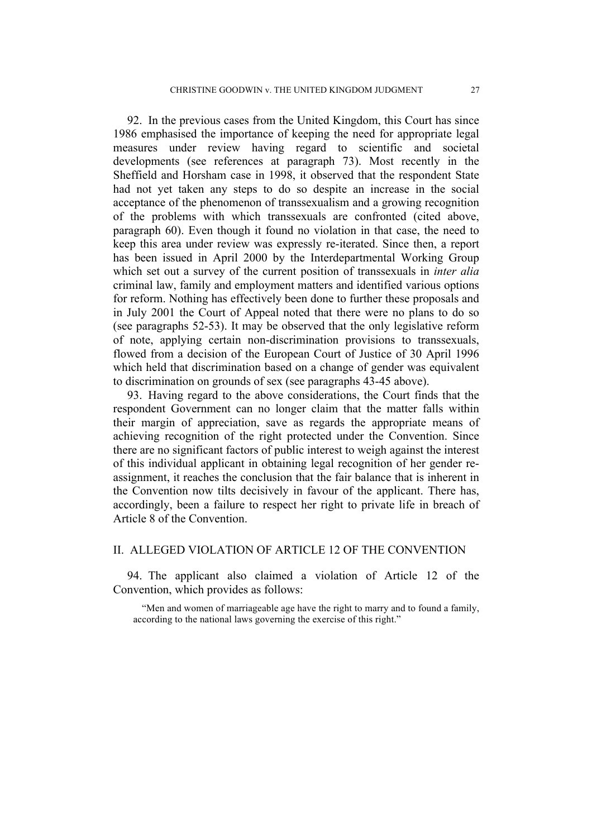92. In the previous cases from the United Kingdom, this Court has since 1986 emphasised the importance of keeping the need for appropriate legal measures under review having regard to scientific and societal developments (see references at paragraph 73). Most recently in the Sheffield and Horsham case in 1998, it observed that the respondent State had not yet taken any steps to do so despite an increase in the social acceptance of the phenomenon of transsexualism and a growing recognition of the problems with which transsexuals are confronted (cited above, paragraph 60). Even though it found no violation in that case, the need to keep this area under review was expressly re-iterated. Since then, a report has been issued in April 2000 by the Interdepartmental Working Group which set out a survey of the current position of transsexuals in *inter alia* criminal law, family and employment matters and identified various options for reform. Nothing has effectively been done to further these proposals and in July 2001 the Court of Appeal noted that there were no plans to do so (see paragraphs 52-53). It may be observed that the only legislative reform of note, applying certain non-discrimination provisions to transsexuals, flowed from a decision of the European Court of Justice of 30 April 1996 which held that discrimination based on a change of gender was equivalent to discrimination on grounds of sex (see paragraphs 43-45 above).

93. Having regard to the above considerations, the Court finds that the respondent Government can no longer claim that the matter falls within their margin of appreciation, save as regards the appropriate means of achieving recognition of the right protected under the Convention. Since there are no significant factors of public interest to weigh against the interest of this individual applicant in obtaining legal recognition of her gender reassignment, it reaches the conclusion that the fair balance that is inherent in the Convention now tilts decisively in favour of the applicant. There has, accordingly, been a failure to respect her right to private life in breach of Article 8 of the Convention.

#### II. ALLEGED VIOLATION OF ARTICLE 12 OF THE CONVENTION

94. The applicant also claimed a violation of Article 12 of the Convention, which provides as follows:

"Men and women of marriageable age have the right to marry and to found a family, according to the national laws governing the exercise of this right."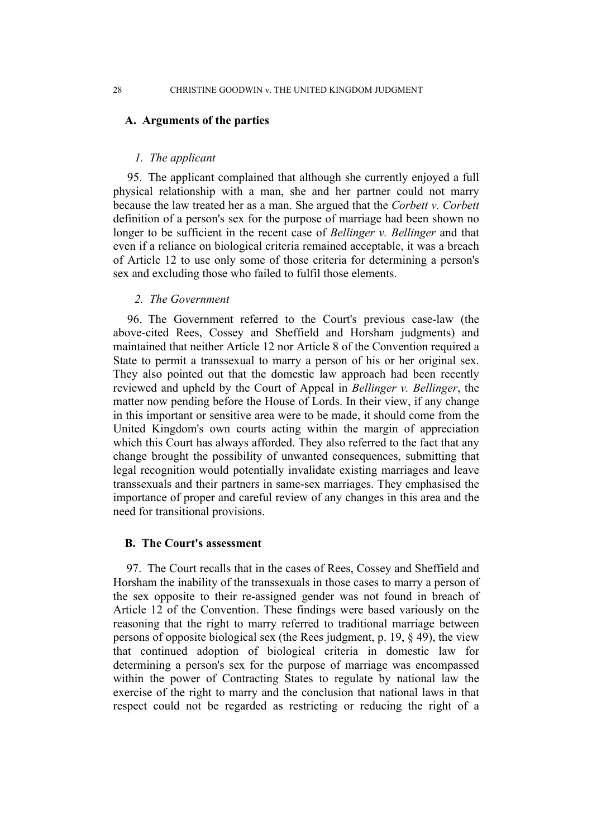## **A. Arguments of the parties**

### *1. The applicant*

95. The applicant complained that although she currently enjoyed a full physical relationship with a man, she and her partner could not marry because the law treated her as a man. She argued that the *Corbett v. Corbett* definition of a person's sex for the purpose of marriage had been shown no longer to be sufficient in the recent case of *Bellinger v. Bellinger* and that even if a reliance on biological criteria remained acceptable, it was a breach of Article 12 to use only some of those criteria for determining a person's sex and excluding those who failed to fulfil those elements.

# *2. The Government*

96. The Government referred to the Court's previous case-law (the above-cited Rees, Cossey and Sheffield and Horsham judgments) and maintained that neither Article 12 nor Article 8 of the Convention required a State to permit a transsexual to marry a person of his or her original sex. They also pointed out that the domestic law approach had been recently reviewed and upheld by the Court of Appeal in *Bellinger v. Bellinger*, the matter now pending before the House of Lords. In their view, if any change in this important or sensitive area were to be made, it should come from the United Kingdom's own courts acting within the margin of appreciation which this Court has always afforded. They also referred to the fact that any change brought the possibility of unwanted consequences, submitting that legal recognition would potentially invalidate existing marriages and leave transsexuals and their partners in same-sex marriages. They emphasised the importance of proper and careful review of any changes in this area and the need for transitional provisions.

#### **B. The Court's assessment**

97. The Court recalls that in the cases of Rees, Cossey and Sheffield and Horsham the inability of the transsexuals in those cases to marry a person of the sex opposite to their re-assigned gender was not found in breach of Article 12 of the Convention. These findings were based variously on the reasoning that the right to marry referred to traditional marriage between persons of opposite biological sex (the Rees judgment, p. 19, § 49), the view that continued adoption of biological criteria in domestic law for determining a person's sex for the purpose of marriage was encompassed within the power of Contracting States to regulate by national law the exercise of the right to marry and the conclusion that national laws in that respect could not be regarded as restricting or reducing the right of a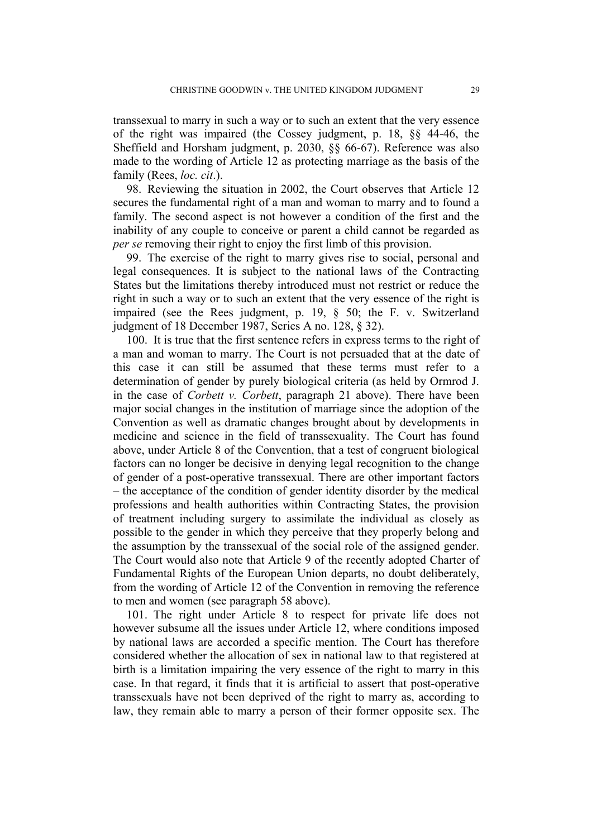transsexual to marry in such a way or to such an extent that the very essence of the right was impaired (the Cossey judgment, p. 18, §§ 44-46, the Sheffield and Horsham judgment, p. 2030, §§ 66-67). Reference was also made to the wording of Article 12 as protecting marriage as the basis of the family (Rees, *loc. cit*.).

98. Reviewing the situation in 2002, the Court observes that Article 12 secures the fundamental right of a man and woman to marry and to found a family. The second aspect is not however a condition of the first and the inability of any couple to conceive or parent a child cannot be regarded as *per se* removing their right to enjoy the first limb of this provision.

99. The exercise of the right to marry gives rise to social, personal and legal consequences. It is subject to the national laws of the Contracting States but the limitations thereby introduced must not restrict or reduce the right in such a way or to such an extent that the very essence of the right is impaired (see the Rees judgment, p. 19, § 50; the F. v. Switzerland judgment of 18 December 1987, Series A no. 128, § 32).

100. It is true that the first sentence refers in express terms to the right of a man and woman to marry. The Court is not persuaded that at the date of this case it can still be assumed that these terms must refer to a determination of gender by purely biological criteria (as held by Ormrod J. in the case of *Corbett v. Corbett*, paragraph 21 above). There have been major social changes in the institution of marriage since the adoption of the Convention as well as dramatic changes brought about by developments in medicine and science in the field of transsexuality. The Court has found above, under Article 8 of the Convention, that a test of congruent biological factors can no longer be decisive in denying legal recognition to the change of gender of a post-operative transsexual. There are other important factors – the acceptance of the condition of gender identity disorder by the medical professions and health authorities within Contracting States, the provision of treatment including surgery to assimilate the individual as closely as possible to the gender in which they perceive that they properly belong and the assumption by the transsexual of the social role of the assigned gender. The Court would also note that Article 9 of the recently adopted Charter of Fundamental Rights of the European Union departs, no doubt deliberately, from the wording of Article 12 of the Convention in removing the reference to men and women (see paragraph 58 above).

101. The right under Article 8 to respect for private life does not however subsume all the issues under Article 12, where conditions imposed by national laws are accorded a specific mention. The Court has therefore considered whether the allocation of sex in national law to that registered at birth is a limitation impairing the very essence of the right to marry in this case. In that regard, it finds that it is artificial to assert that post-operative transsexuals have not been deprived of the right to marry as, according to law, they remain able to marry a person of their former opposite sex. The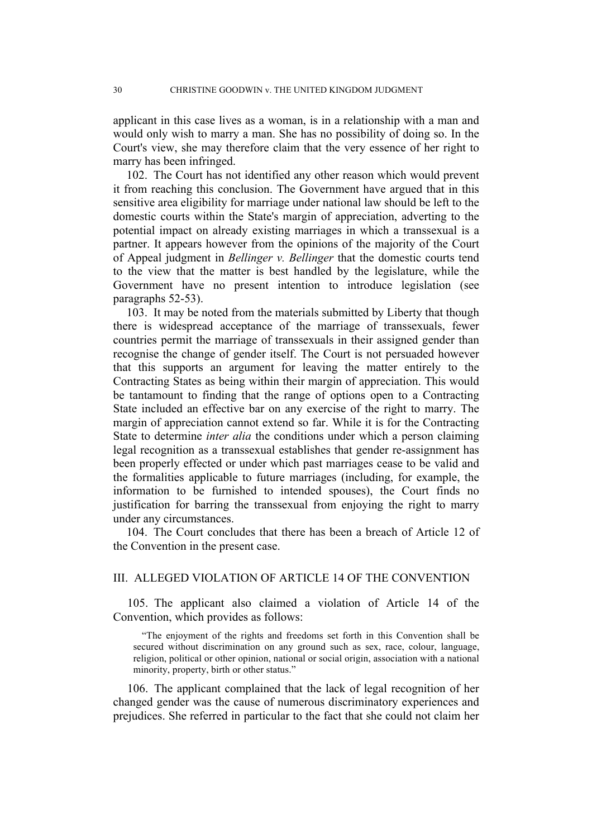applicant in this case lives as a woman, is in a relationship with a man and would only wish to marry a man. She has no possibility of doing so. In the Court's view, she may therefore claim that the very essence of her right to marry has been infringed.

102. The Court has not identified any other reason which would prevent it from reaching this conclusion. The Government have argued that in this sensitive area eligibility for marriage under national law should be left to the domestic courts within the State's margin of appreciation, adverting to the potential impact on already existing marriages in which a transsexual is a partner. It appears however from the opinions of the majority of the Court of Appeal judgment in *Bellinger v. Bellinger* that the domestic courts tend to the view that the matter is best handled by the legislature, while the Government have no present intention to introduce legislation (see paragraphs 52-53).

103. It may be noted from the materials submitted by Liberty that though there is widespread acceptance of the marriage of transsexuals, fewer countries permit the marriage of transsexuals in their assigned gender than recognise the change of gender itself. The Court is not persuaded however that this supports an argument for leaving the matter entirely to the Contracting States as being within their margin of appreciation. This would be tantamount to finding that the range of options open to a Contracting State included an effective bar on any exercise of the right to marry. The margin of appreciation cannot extend so far. While it is for the Contracting State to determine *inter alia* the conditions under which a person claiming legal recognition as a transsexual establishes that gender re-assignment has been properly effected or under which past marriages cease to be valid and the formalities applicable to future marriages (including, for example, the information to be furnished to intended spouses), the Court finds no justification for barring the transsexual from enjoying the right to marry under any circumstances.

104. The Court concludes that there has been a breach of Article 12 of the Convention in the present case.

# III. ALLEGED VIOLATION OF ARTICLE 14 OF THE CONVENTION

105. The applicant also claimed a violation of Article 14 of the Convention, which provides as follows:

"The enjoyment of the rights and freedoms set forth in this Convention shall be secured without discrimination on any ground such as sex, race, colour, language, religion, political or other opinion, national or social origin, association with a national minority, property, birth or other status."

106. The applicant complained that the lack of legal recognition of her changed gender was the cause of numerous discriminatory experiences and prejudices. She referred in particular to the fact that she could not claim her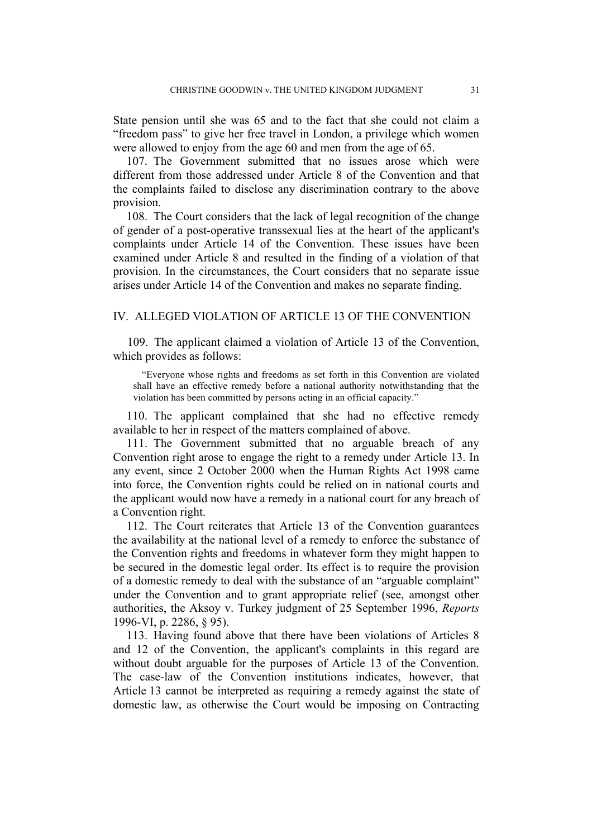State pension until she was 65 and to the fact that she could not claim a "freedom pass" to give her free travel in London, a privilege which women were allowed to enjoy from the age 60 and men from the age of 65.

107. The Government submitted that no issues arose which were different from those addressed under Article 8 of the Convention and that the complaints failed to disclose any discrimination contrary to the above provision.

108. The Court considers that the lack of legal recognition of the change of gender of a post-operative transsexual lies at the heart of the applicant's complaints under Article 14 of the Convention. These issues have been examined under Article 8 and resulted in the finding of a violation of that provision. In the circumstances, the Court considers that no separate issue arises under Article 14 of the Convention and makes no separate finding.

# IV. ALLEGED VIOLATION OF ARTICLE 13 OF THE CONVENTION

109. The applicant claimed a violation of Article 13 of the Convention, which provides as follows:

"Everyone whose rights and freedoms as set forth in this Convention are violated shall have an effective remedy before a national authority notwithstanding that the violation has been committed by persons acting in an official capacity."

110. The applicant complained that she had no effective remedy available to her in respect of the matters complained of above.

111. The Government submitted that no arguable breach of any Convention right arose to engage the right to a remedy under Article 13. In any event, since 2 October 2000 when the Human Rights Act 1998 came into force, the Convention rights could be relied on in national courts and the applicant would now have a remedy in a national court for any breach of a Convention right.

112. The Court reiterates that Article 13 of the Convention guarantees the availability at the national level of a remedy to enforce the substance of the Convention rights and freedoms in whatever form they might happen to be secured in the domestic legal order. Its effect is to require the provision of a domestic remedy to deal with the substance of an "arguable complaint" under the Convention and to grant appropriate relief (see, amongst other authorities, the Aksoy v. Turkey judgment of 25 September 1996, *Reports* 1996-VI, p. 2286, § 95).

113. Having found above that there have been violations of Articles 8 and 12 of the Convention, the applicant's complaints in this regard are without doubt arguable for the purposes of Article 13 of the Convention. The case-law of the Convention institutions indicates, however, that Article 13 cannot be interpreted as requiring a remedy against the state of domestic law, as otherwise the Court would be imposing on Contracting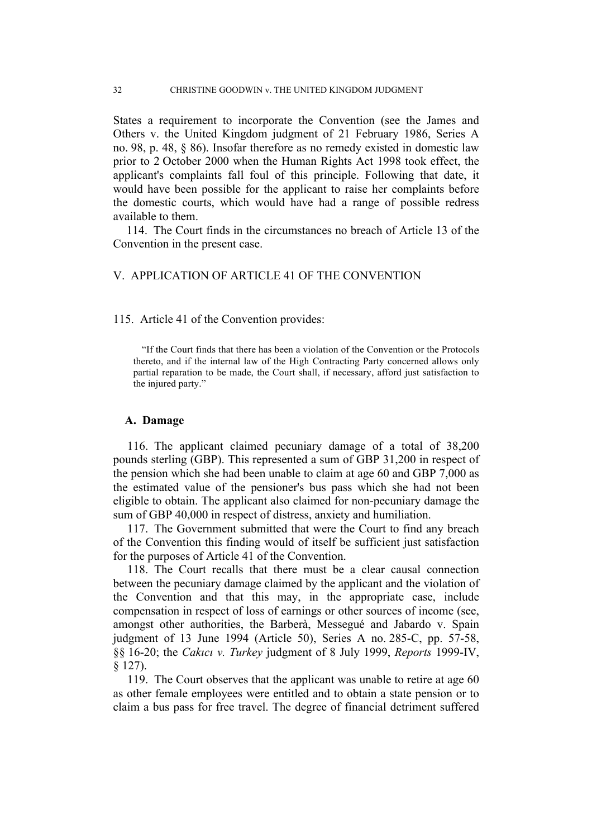States a requirement to incorporate the Convention (see the James and Others v. the United Kingdom judgment of 21 February 1986, Series A no. 98, p. 48, § 86). Insofar therefore as no remedy existed in domestic law prior to 2 October 2000 when the Human Rights Act 1998 took effect, the applicant's complaints fall foul of this principle. Following that date, it would have been possible for the applicant to raise her complaints before the domestic courts, which would have had a range of possible redress available to them.

114. The Court finds in the circumstances no breach of Article 13 of the Convention in the present case.

# V. APPLICATION OF ARTICLE 41 OF THE CONVENTION

#### 115. Article 41 of the Convention provides:

"If the Court finds that there has been a violation of the Convention or the Protocols thereto, and if the internal law of the High Contracting Party concerned allows only partial reparation to be made, the Court shall, if necessary, afford just satisfaction to the injured party."

### **A. Damage**

116. The applicant claimed pecuniary damage of a total of 38,200 pounds sterling (GBP). This represented a sum of GBP 31,200 in respect of the pension which she had been unable to claim at age 60 and GBP 7,000 as the estimated value of the pensioner's bus pass which she had not been eligible to obtain. The applicant also claimed for non-pecuniary damage the sum of GBP 40,000 in respect of distress, anxiety and humiliation.

117. The Government submitted that were the Court to find any breach of the Convention this finding would of itself be sufficient just satisfaction for the purposes of Article 41 of the Convention.

118. The Court recalls that there must be a clear causal connection between the pecuniary damage claimed by the applicant and the violation of the Convention and that this may, in the appropriate case, include compensation in respect of loss of earnings or other sources of income (see, amongst other authorities, the Barberà, Messegué and Jabardo v. Spain judgment of 13 June 1994 (Article 50), Series A no. 285-C, pp. 57-58, §§ 16-20; the *Cakıcı v. Turkey* judgment of 8 July 1999, *Reports* 1999-IV, § 127).

119. The Court observes that the applicant was unable to retire at age 60 as other female employees were entitled and to obtain a state pension or to claim a bus pass for free travel. The degree of financial detriment suffered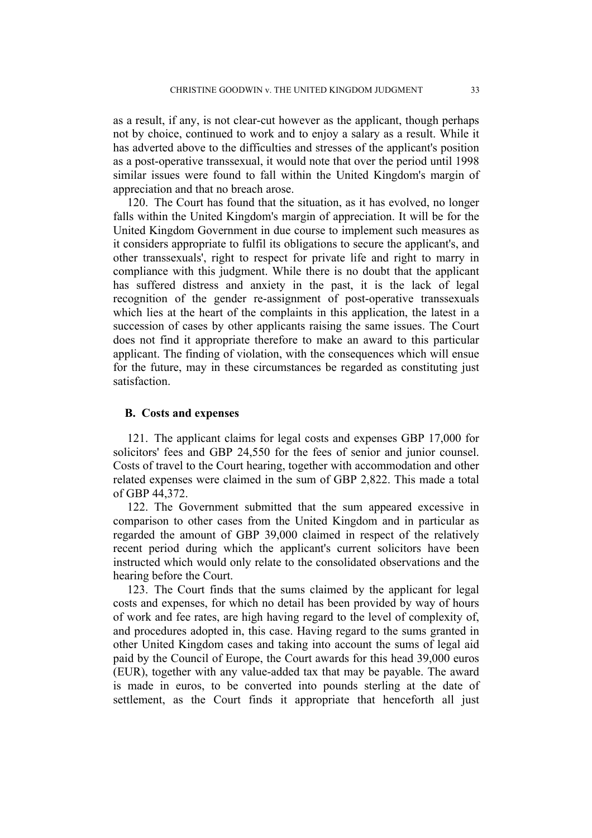as a result, if any, is not clear-cut however as the applicant, though perhaps not by choice, continued to work and to enjoy a salary as a result. While it has adverted above to the difficulties and stresses of the applicant's position as a post-operative transsexual, it would note that over the period until 1998 similar issues were found to fall within the United Kingdom's margin of appreciation and that no breach arose.

120. The Court has found that the situation, as it has evolved, no longer falls within the United Kingdom's margin of appreciation. It will be for the United Kingdom Government in due course to implement such measures as it considers appropriate to fulfil its obligations to secure the applicant's, and other transsexuals', right to respect for private life and right to marry in compliance with this judgment. While there is no doubt that the applicant has suffered distress and anxiety in the past, it is the lack of legal recognition of the gender re-assignment of post-operative transsexuals which lies at the heart of the complaints in this application, the latest in a succession of cases by other applicants raising the same issues. The Court does not find it appropriate therefore to make an award to this particular applicant. The finding of violation, with the consequences which will ensue for the future, may in these circumstances be regarded as constituting just satisfaction.

#### **B. Costs and expenses**

121. The applicant claims for legal costs and expenses GBP 17,000 for solicitors' fees and GBP 24,550 for the fees of senior and junior counsel. Costs of travel to the Court hearing, together with accommodation and other related expenses were claimed in the sum of GBP 2,822. This made a total of GBP 44,372.

122. The Government submitted that the sum appeared excessive in comparison to other cases from the United Kingdom and in particular as regarded the amount of GBP 39,000 claimed in respect of the relatively recent period during which the applicant's current solicitors have been instructed which would only relate to the consolidated observations and the hearing before the Court.

123. The Court finds that the sums claimed by the applicant for legal costs and expenses, for which no detail has been provided by way of hours of work and fee rates, are high having regard to the level of complexity of, and procedures adopted in, this case. Having regard to the sums granted in other United Kingdom cases and taking into account the sums of legal aid paid by the Council of Europe, the Court awards for this head 39,000 euros (EUR), together with any value-added tax that may be payable. The award is made in euros, to be converted into pounds sterling at the date of settlement, as the Court finds it appropriate that henceforth all just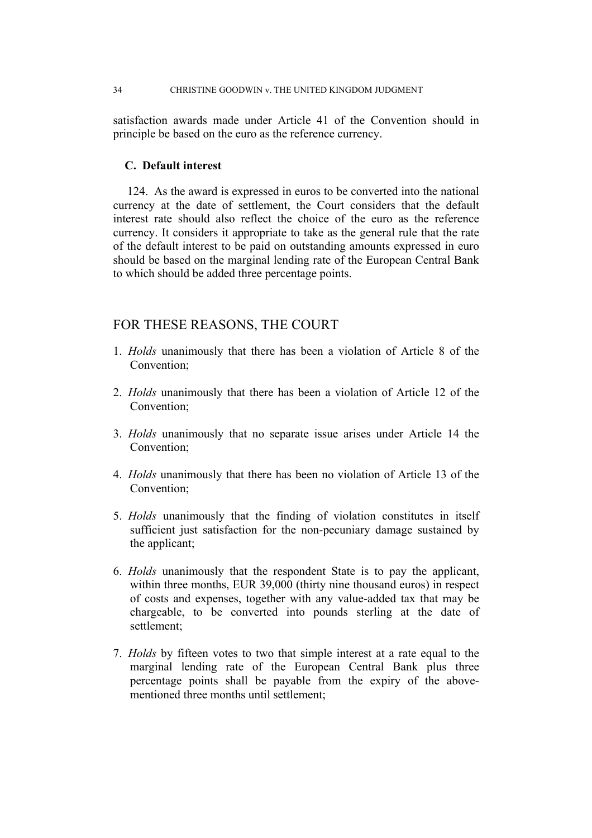satisfaction awards made under Article 41 of the Convention should in principle be based on the euro as the reference currency.

# **C. Default interest**

124. As the award is expressed in euros to be converted into the national currency at the date of settlement, the Court considers that the default interest rate should also reflect the choice of the euro as the reference currency. It considers it appropriate to take as the general rule that the rate of the default interest to be paid on outstanding amounts expressed in euro should be based on the marginal lending rate of the European Central Bank to which should be added three percentage points.

# FOR THESE REASONS, THE COURT

- 1. *Holds* unanimously that there has been a violation of Article 8 of the Convention;
- 2. *Holds* unanimously that there has been a violation of Article 12 of the Convention;
- 3. *Holds* unanimously that no separate issue arises under Article 14 the Convention;
- 4. *Holds* unanimously that there has been no violation of Article 13 of the Convention;
- 5. *Holds* unanimously that the finding of violation constitutes in itself sufficient just satisfaction for the non-pecuniary damage sustained by the applicant;
- 6. *Holds* unanimously that the respondent State is to pay the applicant, within three months, EUR 39,000 (thirty nine thousand euros) in respect of costs and expenses, together with any value-added tax that may be chargeable, to be converted into pounds sterling at the date of settlement;
- 7. *Holds* by fifteen votes to two that simple interest at a rate equal to the marginal lending rate of the European Central Bank plus three percentage points shall be payable from the expiry of the abovementioned three months until settlement;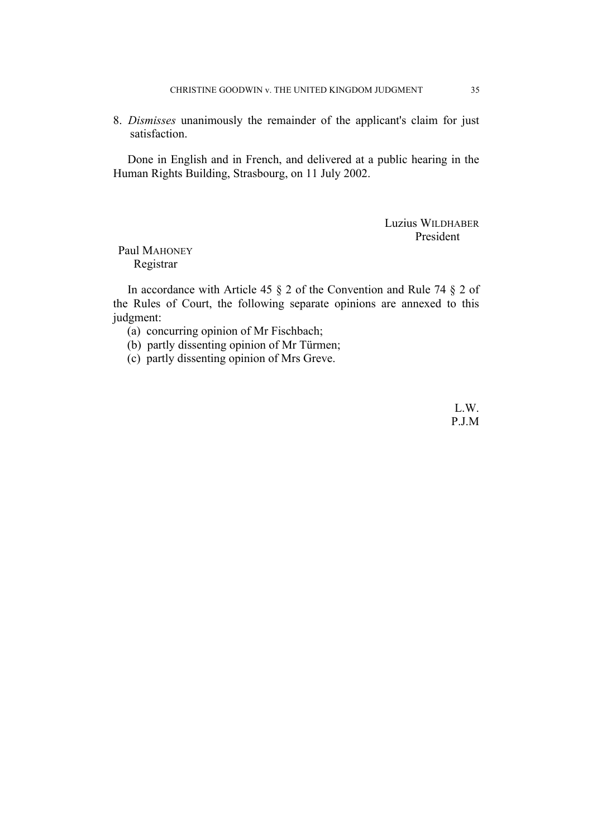8. *Dismisses* unanimously the remainder of the applicant's claim for just satisfaction.

Done in English and in French, and delivered at a public hearing in the Human Rights Building, Strasbourg, on 11 July 2002.

> Luzius WILDHABER President

Paul MAHONEY Registrar

In accordance with Article 45 § 2 of the Convention and Rule 74 § 2 of the Rules of Court, the following separate opinions are annexed to this judgment:

- (a) concurring opinion of Mr Fischbach;
- (b) partly dissenting opinion of Mr Türmen;
- (c) partly dissenting opinion of Mrs Greve.

L.W. P.J.M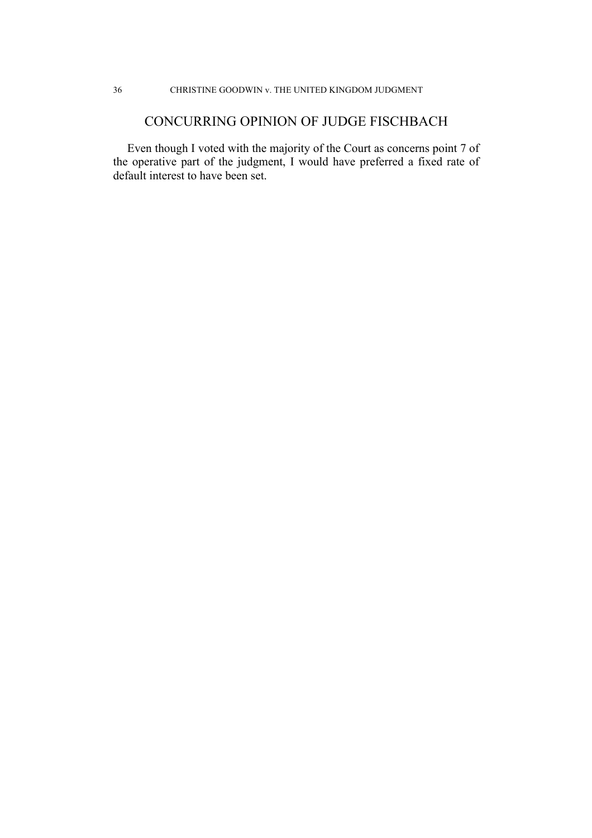# CONCURRING OPINION OF JUDGE FISCHBACH

Even though I voted with the majority of the Court as concerns point 7 of the operative part of the judgment, I would have preferred a fixed rate of default interest to have been set.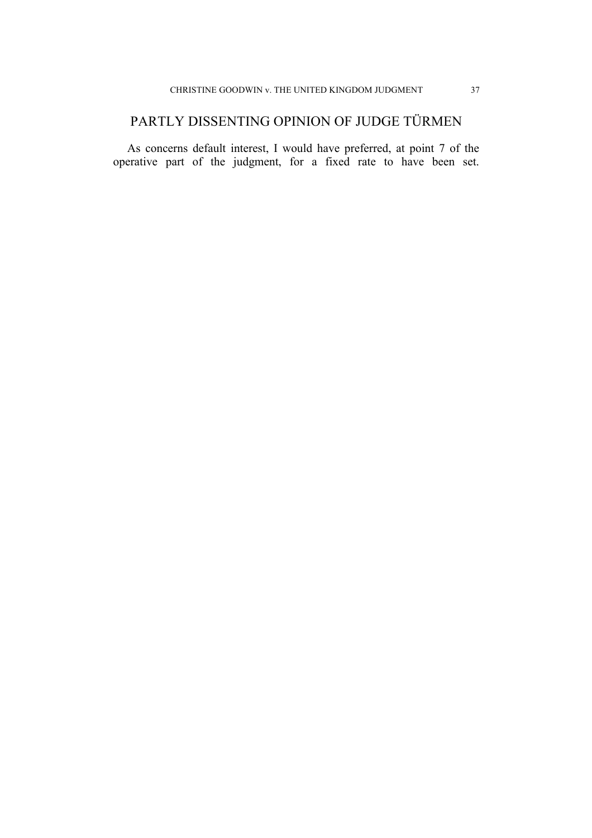# PARTLY DISSENTING OPINION OF JUDGE TÜRMEN

As concerns default interest, I would have preferred, at point 7 of the operative part of the judgment, for a fixed rate to have been set.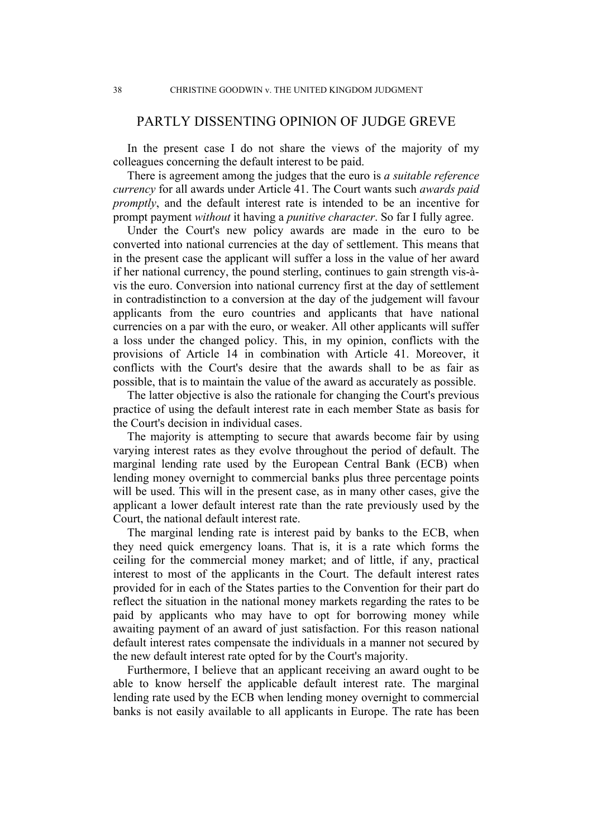# PARTLY DISSENTING OPINION OF JUDGE GREVE

In the present case I do not share the views of the majority of my colleagues concerning the default interest to be paid.

There is agreement among the judges that the euro is *a suitable reference currency* for all awards under Article 41. The Court wants such *awards paid promptly*, and the default interest rate is intended to be an incentive for prompt payment *without* it having a *punitive character*. So far I fully agree.

Under the Court's new policy awards are made in the euro to be converted into national currencies at the day of settlement. This means that in the present case the applicant will suffer a loss in the value of her award if her national currency, the pound sterling, continues to gain strength vis-àvis the euro. Conversion into national currency first at the day of settlement in contradistinction to a conversion at the day of the judgement will favour applicants from the euro countries and applicants that have national currencies on a par with the euro, or weaker. All other applicants will suffer a loss under the changed policy. This, in my opinion, conflicts with the provisions of Article 14 in combination with Article 41. Moreover, it conflicts with the Court's desire that the awards shall to be as fair as possible, that is to maintain the value of the award as accurately as possible.

The latter objective is also the rationale for changing the Court's previous practice of using the default interest rate in each member State as basis for the Court's decision in individual cases.

The majority is attempting to secure that awards become fair by using varying interest rates as they evolve throughout the period of default. The marginal lending rate used by the European Central Bank (ECB) when lending money overnight to commercial banks plus three percentage points will be used. This will in the present case, as in many other cases, give the applicant a lower default interest rate than the rate previously used by the Court, the national default interest rate.

The marginal lending rate is interest paid by banks to the ECB, when they need quick emergency loans. That is, it is a rate which forms the ceiling for the commercial money market; and of little, if any, practical interest to most of the applicants in the Court. The default interest rates provided for in each of the States parties to the Convention for their part do reflect the situation in the national money markets regarding the rates to be paid by applicants who may have to opt for borrowing money while awaiting payment of an award of just satisfaction. For this reason national default interest rates compensate the individuals in a manner not secured by the new default interest rate opted for by the Court's majority.

Furthermore, I believe that an applicant receiving an award ought to be able to know herself the applicable default interest rate. The marginal lending rate used by the ECB when lending money overnight to commercial banks is not easily available to all applicants in Europe. The rate has been